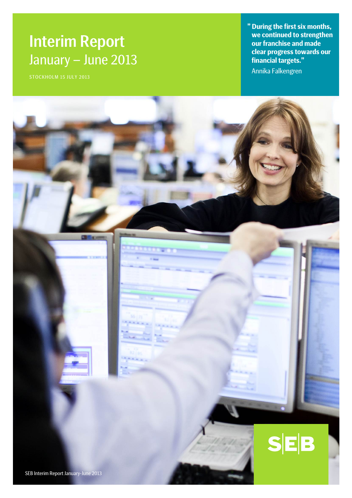# Interim Report January – June 2013

**" During the first six months, we continued to strengthen our franchise and made clear progress towards our financial targets."**

Annika Falkengren

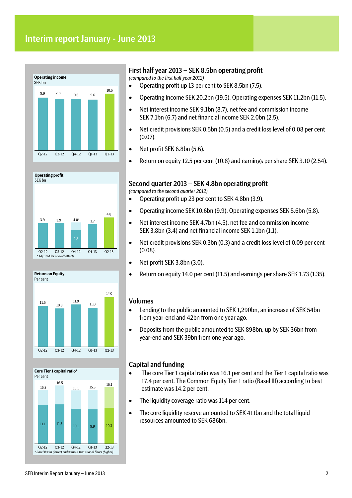# Interim report January - June 2013









### First half year 2013 – SEK 8.5bn operating profit

*(compared to the first half year 2012)*

- Operating profit up 13 per cent to SEK 8.5bn (7.5).
- Operating income SEK 20.2bn (19.5). Operating expenses SEK 11.2bn (11.5).
- Net interest income SEK 9.1bn (8.7), net fee and commission income SEK 7.1bn (6.7) and net financial income SEK 2.0bn (2.5).
- Net credit provisions SEK 0.5bn (0.5) and a credit loss level of 0.08 per cent (0.07).
- Net profit SEK 6.8bn (5.6).
- Return on equity 12.5 per cent (10.8) and earnings per share SEK 3.10 (2.54).

### Second quarter 2013 – SEK 4.8bn operating profit

*(compared to the second quarter 2012)*

- Operating profit up 23 per cent to SEK 4.8bn (3.9).
- Operating income SEK 10.6bn (9.9). Operating expenses SEK 5.6bn (5.8).
- Net interest income SEK 4.7bn (4.5), net fee and commission income SEK 3.8bn (3.4) and net financial income SEK 1.1bn (1.1).
- Net credit provisions SEK 0.3bn (0.3) and a credit loss level of 0.09 per cent (0.08).
- Net profit SEK 3.8bn (3.0).
- Return on equity 14.0 per cent (11.5) and earnings per share SEK 1.73 (1.35).

### Volumes

- Lending to the public amounted to SEK 1,290bn, an increase of SEK 54bn from year-end and 42bn from one year ago.
- Deposits from the public amounted to SEK 898bn, up by SEK 36bn from year-end and SEK 39bn from one year ago.

### Capital and funding

- The core Tier 1 capital ratio was 16.1 per cent and the Tier 1 capital ratio was 17.4 per cent. The Common Equity Tier 1 ratio (Basel III) according to best estimate was 14.2 per cent.
- The liquidity coverage ratio was 114 per cent.
- The core liquidity reserve amounted to SEK 411bn and the total liquid resources amounted to SEK 686bn.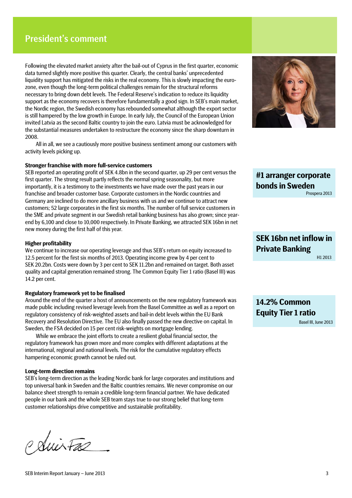# President's comment

Following the elevated market anxiety after the bail-out of Cyprus in the first quarter, economic data turned slightly more positive this quarter. Clearly, the central banks' unprecedented liquidity support has mitigated the risks in the real economy. This is slowly impacting the eurozone, even though the long-term political challenges remain for the structural reforms necessary to bring down debt levels. The Federal Reserve's indication to reduce its liquidity support as the economy recovers is therefore fundamentally a good sign. In SEB's main market, the Nordic region, the Swedish economy has rebounded somewhat although the export sector is still hampered by the low growth in Europe. In early July, the Council of the European Union invited Latvia as the second Baltic country to join the euro. Latvia must be acknowledged for the substantial measures undertaken to restructure the economy since the sharp downturn in 2008.

All in all, we see a cautiously more positive business sentiment among our customers with activity levels picking up.

### **Stronger franchise with more full-service customers**

SEB reported an operating profit of SEK 4.8bn in the second quarter, up 29 per cent versus the first quarter. The strong result partly reflects the normal spring seasonality, but more importantly, it is a testimony to the investments we have made over the past years in our franchise and broader customer base. Corporate customers in the Nordic countries and Germany are inclined to do more ancillary business with us and we continue to attract new customers; 52 large corporates in the first six months. The number of full service customers in the SME and private segment in our Swedish retail banking business has also grown; since yearend by 6,100 and close to 10,000 respectively. In Private Banking, we attracted SEK 16bn in net new money during the first half of this year.

### **Higher profitability**

We continue to increase our operating leverage and thus SEB's return on equity increased to 12.5 percent for the first six months of 2013. Operating income grew by 4 per cent to SEK 20.2bn. Costs were down by 3 per cent to SEK 11.2bn and remained on target. Both asset quality and capital generation remained strong. The Common Equity Tier 1 ratio (Basel III) was 14.2 per cent.

#### **Regulatory framework yet to be finalised**

Around the end of the quarter a host of announcements on the new regulatory framework was made public including revised leverage levels from the Basel Committee as well as a report on regulatory consistency of risk-weighted assets and bail-in debt levels within the EU Bank Recovery and Resolution Directive. The EU also finally passed the new directive on capital. In Sweden, the FSA decided on 15 per cent risk-weights on mortgage lending.

While we embrace the joint efforts to create a resilient global financial sector, the regulatory framework has grown more and more complex with different adaptations at the international, regional and national levels. The risk for the cumulative regulatory effects hampering economic growth cannot be ruled out.

### **Long-term direction remains**

SEB's long-term direction as the leading Nordic bank for large corporates and institutions and top universal bank in Sweden and the Baltic countries remains. We never compromise on our balance sheet strength to remain a credible long-term financial partner. We have dedicated people in our bank and the whole SEB team stays true to our strong belief that long-term customer relationships drive competitive and sustainable profitability.

Policitas



**#1 arranger corporate bonds in Sweden**  Prospera 2013

# **SEK 16bn net inflow in Private Banking** H1 2013

**14.2% Common Equity Tier 1 ratio** 

Basel III, June 2013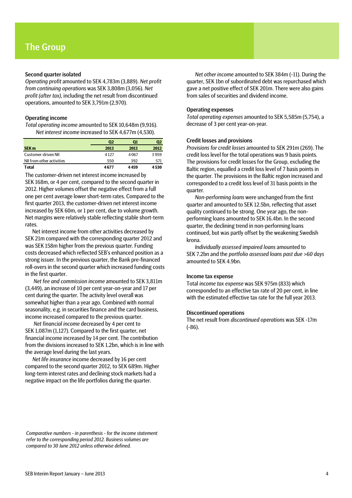### Second quarter isolated

*Operating profit* amounted to SEK 4,783m (3,889). *Net profit from continuing operations* was SEK 3,808m (3,056). *Net profit (after tax),* including the net result from discontinued operations, amounted to SEK 3,791m (2,970).

### Operating income

*Total operating income* amounted to SEK 10,648m (9,916). *Net interest income* increased to SEK 4,677m (4,530).

|                           | $\mathbf{Q}$ | Q1   | Q2      |
|---------------------------|--------------|------|---------|
| <b>SEK m</b>              | 2013         | 2013 | 2012    |
| Customer-driven NII       | 4127         | 4067 | 3 9 5 9 |
| NII from other activities | 550          | 392  | 571     |
| <b>Total</b>              | 4677         | 4459 | 4530    |

The customer-driven net interest income increased by SEK 168m, or 4 per cent, compared to the second quarter in 2012. Higher volumes offset the negative effect from a full one per cent average lower short-term rates. Compared to the first quarter 2013, the customer-driven net interest income increased by SEK 60m, or 1 per cent, due to volume growth. Net margins were relatively stable reflecting stable short-term rates.

Net interest income from other activities decreased by SEK 21m compared with the corresponding quarter 2012 and was SEK 158m higher from the previous quarter. Funding costs decreased which reflected SEB's enhanced position as a strong issuer. In the previous quarter, the Bank pre-financed roll-overs in the second quarter which increased funding costs in the first quarter.

*Net fee and commission income* amounted to SEK 3,811m (3,449), an increase of 10 per cent year-on-year and 17 per cent during the quarter. The activity level overall was somewhat higher than a year ago. Combined with normal seasonality, e.g. in securities finance and the card business, income increased compared to the previous quarter.

*Net financial income* decreased by 4 per cent to SEK 1,087m (1,127). Compared to the first quarter, net financial income increased by 14 per cent. The contribution from the divisions increased to SEK 1.2bn, which is in line with the average level during the last years.

*Net life insurance* income decreased by 16 per cent compared to the second quarter 2012, to SEK 689m. Higher long-term interest rates and declining stock markets had a negative impact on the life portfolios during the quarter.

*Net other income* amounted to SEK 384m (-11). During the quarter, SEK 1bn of subordinated debt was repurchased which gave a net positive effect of SEK 201m. There were also gains from sales of securities and dividend income.

### Operating expenses

*Total operating expenses* amounted to SEK 5,585m (5,754), a decrease of 3 per cent year-on-year.

#### Credit losses and provisions

*Provisions for credit losses* amounted to SEK 291m (269). The credit loss level for the total operations was 9 basis points. The provisions for credit losses for the Group, excluding the Baltic region, equalled a credit loss level of 7 basis points in the quarter. The provisions in the Baltic region increased and corresponded to a credit loss level of 31 basis points in the quarter.

*Non-performing loans* were unchanged from the first quarter and amounted to SEK 12.5bn, reflecting that asset quality continued to be strong. One year ago, the nonperforming loans amounted to SEK 16.4bn. In the second quarter, the declining trend in non-performing loans continued, but was partly offset by the weakening Swedish krona.

*Individually assessed impaired loans* amounted to SEK 7.2bn and the *portfolio assessed loans past due >60 days* amounted to SEK 4.9bn.

### Income tax expense

Total *income tax expense* was SEK 975m (833) which corresponded to an effective tax rate of 20 per cent, in line with the estimated effective tax rate for the full year 2013.

#### Discontinued operations

The net result from *discontinued operations* was SEK -17m (-86).

*Comparative numbers - in parenthesis - for the income statement refer to the corresponding period 2012. Business volumes are compared to 30 June 2012 unless otherwise defined.*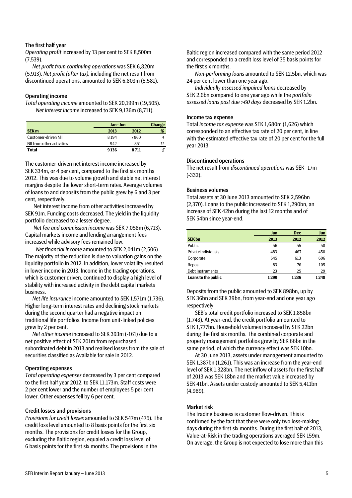### The first half year

*Operating profit* increased by 13 per cent to SEK 8,500m (7,539).

*Net profit from continuing operations* was SEK 6,820m (5,913). *Net profit (after tax),* including the net result from discontinued operations, amounted to SEK 6,803m (5,581).

### Operating income

*Total operating income* amounted to SEK 20,199m (19,505). *Net interest income* increased to SEK 9,136m (8,711).

|                           |      | Jan-Jun |   |  |
|---------------------------|------|---------|---|--|
| <b>SEK m</b>              | 2013 | 2012    | % |  |
| Customer-driven NII       | 8194 | 7860    |   |  |
| NII from other activities | 942  | 851     |   |  |
| <b>Total</b>              | 9136 | 8 7 1 1 | л |  |

The customer-driven net interest income increased by SEK 334m, or 4 per cent, compared to the first six months 2012. This was due to volume growth and stable net interest margins despite the lower short-term rates. Average volumes of loans to and deposits from the public grew by 6 and 3 per cent, respectively.

Net interest income from other activities increased by SEK 91m. Funding costs decreased. The yield in the liquidity portfolio decreased to a lesser degree.

*Net fee and commission income* was SEK 7,058m (6,713). Capital markets income and lending arrangement fees increased while advisory fees remained low.

*Net financial income* amounted to SEK 2,041m (2,506). The majority of the reduction is due to valuation gains on the liquidity portfolio in 2012. In addition, lower volatility resulted in lower income in 2013. Income in the trading operations, which is customer driven, continued to display a high level of stability with increased activity in the debt capital markets business.

*Net life insurance* income amounted to SEK 1,571m (1,736). Higher long-term interest rates and declining stock markets during the second quarter had a negative impact on traditional life portfolios. Income from unit-linked policies grew by 2 per cent.

*Net other income* increased to SEK 393m (-161) due to a net positive effect of SEK 201m from repurchased subordinated debt in 2013 and realised losses from the sale of securities classified as Available for sale in 2012.

#### Operating expenses

*Total operating expenses* decreased by 3 per cent compared to the first half year 2012, to SEK 11,173m. Staff costs were 2 per cent lower and the number of employees 5 per cent lower. Other expenses fell by 6 per cent.

### Credit losses and provisions

*Provisions for credit losses* amounted to SEK 547m (475). The credit loss level amounted to 8 basis points for the first six months. The provisions for credit losses for the Group, excluding the Baltic region, equaled a credit loss level of 6 basis points for the first six months. The provisions in the

Baltic region increased compared with the same period 2012 and corresponded to a credit loss level of 35 basis points for the first six months.

*Non-performing loans* amounted to SEK 12.5bn, which was 24 per cent lower than one year ago.

*Individually assessed impaired loans* decreased by SEK 2.6bn compared to one year ago while the *portfolio assessed loans past due >60 days* decreased by SEK 1.2bn.

#### Income tax expense

Total *income tax expense* was SEK 1,680m (1,626) which corresponded to an effective tax rate of 20 per cent, in line with the estimated effective tax rate of 20 per cent for the full year 2013.

### Discontinued operations

The net result from *discontinued operations* was SEK -17m (-332).

#### Business volumes

Total assets at 30 June 2013 amounted to SEK 2,596bn (2,370). Loans to the public increased to SEK 1,290bn, an increase of SEK 42bn during the last 12 months and of SEK 54bn since year-end.

|                     | Jun  | <b>Dec</b> | Jun  |
|---------------------|------|------------|------|
| <b>SEK bn</b>       | 2013 | 2012       | 2012 |
| Public              | 56   | 55         | 58   |
| Private individuals | 483  | 467        | 450  |
| Corporate           | 645  | 613        | 606  |
| Repos               | 83   | 76         | 105  |
| Debt instruments    | 23   | 25         | 29   |
| Loans to the public | 1290 | 1236       | 1248 |

Deposits from the public amounted to SEK 898bn, up by SEK 36bn and SEK 39bn, from year-end and one year ago respectively.

SEB's total credit portfolio increased to SEK 1,858bn (1,743). At year-end, the credit portfolio amounted to SEK 1,777bn. Household volumes increased by SEK 22bn during the first six months. The combined corporate and property management portfolios grew by SEK 66bn in the same period, of which the currency effect was SEK 10bn.

At 30 June 2013, assets under management amounted to SEK 1,387bn (1,261). This was an increase from the year-end level of SEK 1,328bn. The net inflow of assets for the first half of 2013 was SEK 18bn and the market value increased by SEK 41bn. Assets under custody amounted to SEK 5,411bn (4,989).

### Market risk

The trading business is customer flow-driven. This is confirmed by the fact that there were only two loss-making days during the first six months. During the first half of 2013, Value-at-Risk in the trading operations averaged SEK 159m. On average, the Group is not expected to lose more than this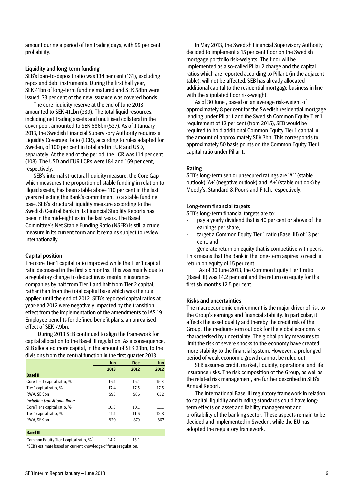amount during a period of ten trading days, with 99 per cent probability.

### Liquidity and long-term funding

SEB's loan-to-deposit ratio was 134 per cent (131), excluding repos and debt instruments. During the first half year, SEK 41bn of long-term funding matured and SEK 58bn were issued. 73 per cent of the new issuance was covered bonds.

The core liquidity reserve at the end of June 2013 amounted to SEK 411bn (339). The total liquid resources, including net trading assets and unutilised collateral in the cover pool, amounted to SEK 686bn (537). As of 1 January 2013, the Swedish Financial Supervisory Authority requires a Liquidity Coverage Ratio (LCR), according to rules adapted for Sweden, of 100 per cent in total and in EUR and USD, separately. At the end of the period, the LCR was 114 per cent (108). The USD and EUR LCRs were 184 and 159 per cent, respectively.

SEB's internal structural liquidity measure, the Core Gap which measures the proportion of stable funding in relation to illquid assets, has been stable above 110 per cent in the last years reflecting the Bank's commitment to a stable funding base. SEB's structural liquidity measure according to the Swedish Central Bank in its Financial Stability Reports has been in the mid-eighties in the last years. The Basel Committee's Net Stable Funding Ratio (NSFR) is still a crude measure in its current form and it remains subject to review internationally.

### Capital position

The core Tier 1 capital ratio improved while the Tier 1 capital ratio decreased in the first six months. This was mainly due to a regulatory change to deduct investments in insurance companies by half from Tier 1 and half from Tier 2 capital, rather than from the total capital base which was the rule applied until the end of 2012. SEB's reported capital ratios at year-end 2012 were negatively impacted by the transition effect from the implementation of the amendments to IAS 19 Employee benefits for defined benefit plans, an unrealised effect of SEK 7.9bn.

During 2013 SEB continued to align the framework for capital allocation to the Basel III regulation. As a consequence, SEB allocated more capital, in the amount of SEK 23bn, to the divisions from the central function in the first quarter 2013.

|                               | Jun  | <b>Dec</b> | Jun  |
|-------------------------------|------|------------|------|
|                               | 2013 | 2012       | 2012 |
| <b>Basel II</b>               |      |            |      |
| Core Tier 1 capital ratio, %  | 16.1 | 15.1       | 15.3 |
| Tier 1 capital ratio, %       | 17.4 | 17.5       | 17.5 |
| RWA, SEK bn                   | 593  | 586        | 632  |
| Including transitional floor: |      |            |      |
| Core Tier 1 capital ratio, %  | 10.3 | 10.1       | 11.1 |
| Tier 1 capital ratio, %       | 11.1 | 11.6       | 12.8 |
| RWA, SEK bn                   | 929  | 879        | 867  |
|                               |      |            |      |

#### **Basel III**

Common Equity Tier 1 capital ratio,  $\%$  14.2 13.1

\*SEB's estimate based on current knowledge of future regulation.

In May 2013, the Swedish Financial Supervisory Authority decided to implement a 15 per cent floor on the Swedish mortgage portfolio risk-weights. The floor will be implemented as a so-called Pillar 2 charge and the capital ratios which are reported according to Pillar 1 (in the adjacent table), will not be affected. SEB has already allocated additional capital to the residential mortgage business in line with the stipulated floor risk-weight.

As of 30 June , based on an average risk-weight of approximately 8 per cent for the Swedish residential mortgage lending under Pillar 1 and the Swedish Common Equity Tier 1 requirement of 12 per cent (from 2015), SEB would be required to hold additional Common Equity Tier 1 capital in the amount of approximately SEK 3bn. This corresponds to approximately 50 basis points on the Common Equity Tier 1 capital ratio under Pillar 1.

### Rating

SEB's long-term senior unsecured ratings are 'A1' (stable outlook) 'A+' (negative outlook) and 'A+' (stable outlook) by Moody's, Standard & Poor's and Fitch, respectively.

### Long-term financial targets

SEB's long-term financial targets are to:

- pay a yearly dividend that is 40 per cent or above of the earnings per share,
- target a Common Equity Tier 1 ratio (Basel III) of 13 per cent, and

generate return on equity that is competitive with peers. This means that the Bank in the long-term aspires to reach a return on equity of 15 per cent.

As of 30 June 2013, the Common Equity Tier 1 ratio (Basel III) was 14.2 per cent and the return on equity for the first six months 12.5 per cent.

### Risks and uncertainties

The macroeconomic environment is the major driver of risk to the Group's earnings and financial stability. In particular, it affects the asset quality and thereby the credit risk of the Group. The medium-term outlook for the global economy is characterised by uncertainty. The global policy measures to limit the risk of severe shocks to the economy have created more stability to the financial system. However, a prolonged period of weak economic growth cannot be ruled out.

SEB assumes credit, market, liquidity, operational and life insurance risks. The risk composition of the Group, as well as the related risk management, are further described in SEB's Annual Report.

The international Basel III regulatory framework in relation to capital, liquidity and funding standards could have longterm effects on asset and liability management and profitability of the banking sector. These aspects remain to be decided and implemented in Sweden, while the EU has adopted the regulatory framework.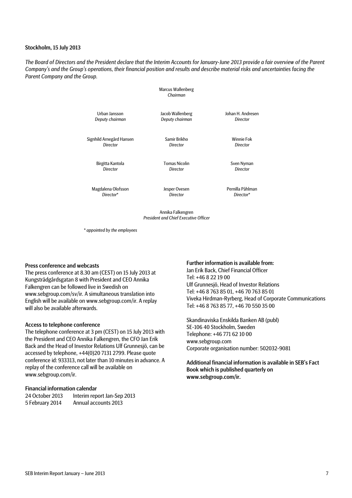### Stockholm, 15 July 2013

*The Board of Directors and the President declare that the Interim Accounts for January-June 2013 provide a fair overview of the Parent Company's and the Group's operations, their financial position and results and describe material risks and uncertainties facing the Parent Company and the Group.*

> Marcus Wallenberg *Chairman*

| Urban Jansson   |  |
|-----------------|--|
| Deputy chairman |  |

Jacob Wallenberg *Deputy chairman*

> Samir Brikho *Director*

Johan H. Andresen *Director*

> Winnie Fok *Director*

Birgitta Kantola *Director*

Signhild Arnegård Hansen *Director*

> Tomas Nicolin *Director*

Sven Nyman *Director*

Magdalena Olofsson *Director*\*

Jesper Ovesen *Director*

Pernilla Påhlman *Director*\*

Annika Falkengren *President and Chief Executive Officer*

*\* appointed by the employees*

#### Press conference and webcasts

The press conference at 8.30 am (CEST) on 15 July 2013 at Kungsträdgårdsgatan 8 with President and CEO Annika Falkengren can be followed live in Swedish on www.sebgroup.com/sv/ir. A simultaneous translation into English will be available on www.sebgroup.com/ir. A replay will also be available afterwards.

#### Access to telephone conference

The telephone conference at 3 pm (CEST) on 15 July 2013 with the President and CEO Annika Falkengren, the CFO Jan Erik Back and the Head of Investor Relations Ulf Grunnesjö, can be accessed by telephone, +44(0)20 7131 2799. Please quote conference id: 933313, not later than 10 minutes in advance. A replay of the conference call will be available on www.sebgroup.com/ir.

#### Financial information calendar

| 24 October 2013 | Interim report Jan-Sep 2013 |
|-----------------|-----------------------------|
| 5 February 2014 | Annual accounts 2013        |

### Further information is available from:

Jan Erik Back, Chief Financial Officer Tel: +46 8 22 19 00 Ulf Grunnesjö, Head of Investor Relations Tel: +46 8 763 85 01, +46 70 763 85 01 Viveka Hirdman-Ryrberg, Head of Corporate Communications Tel: +46 8 763 85 77, +46 70 550 35 00

Skandinaviska Enskilda Banken AB (publ) SE-106 40 Stockholm, Sweden Telephone: +46 771 62 10 00 www.sebgroup.com Corporate organisation number: 502032-9081

Additional financial information is available in SEB's Fact Book which is published quarterly on www.sebgroup.com/ir.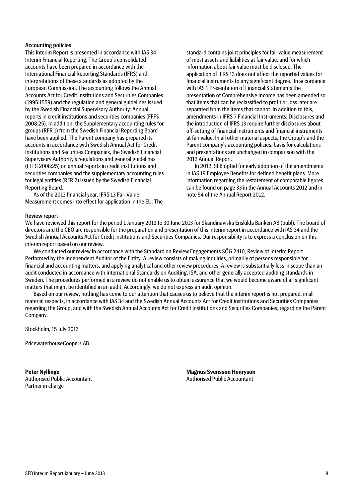### Accounting policies

This Interim Report is presented in accordance with IAS 34 Interim Financial Reporting. The Group's consolidated accounts have been prepared in accordance with the International Financial Reporting Standards (IFRS) and interpretations of these standards as adopted by the European Commission. The accounting follows the Annual Accounts Act for Credit Institutions and Securities Companies (1995:1559) and the regulation and general guidelines issued by the Swedish Financial Supervisory Authority: Annual reports in credit institutions and securities companies (FFFS 2008:25). In addition, the Supplementary accounting rules for groups (RFR 1) from the Swedish Financial Reporting Board have been applied. The Parent company has prepared its accounts in accordance with Swedish Annual Act for Credit Institutions and Securities Companies, the Swedish Financial Supervisory Authority's regulations and general guidelines (FFFS 2008:25) on annual reports in credit institutions and securities companies and the supplementary accounting rules for legal entities (RFR 2) issued by the Swedish Financial Reporting Board.

As of the 2013 financial year, IFRS 13 Fair Value Measurement comes into effect for application in the EU. The

standard contains joint principles for fair value measurement of most assets and liabilities at fair value, and for which information about fair value must be disclosed. The application of IFRS 13 does not affect the reported values for financial instruments to any significant degree. In accordance with IAS 1 Presentation of Financial Statements the presentation of Comprehensive Income has been amended so that items that can be reclassified to profit or loss later are separated from the items that cannot. In addition to this, amendments in IFRS 7 Financial Instruments: Disclosures and the introduction of IFRS 13 require further disclosures about off-setting of financial instruments and financial instruments at fair value. In all other material aspects, the Group's and the Parent company's accounting policies, basis for calculations and presentations are unchanged in comparison with the 2012 Annual Report.

In 2012, SEB opted for early adoption of the amendments in IAS 19 Employee Benefits for defined benefit plans. More information regarding the restatement of comparable figures can be found on page 33 in the Annual Accounts 2012 and in note 54 of the Annual Report 2012.

#### Review report

We have reviewed this report for the period 1 January 2013 to 30 June 2013 for Skandinaviska Enskilda Banken AB (publ). The board of directors and the CEO are responsible for the preparation and presentation of this interim report in accordance with IAS 34 and the Swedish Annual Accounts Act for Credit institutions and Securities Companies. Our responsibility is to express a conclusion on this interim report based on our review.

We conducted our review in accordance with the Standard on Review Engagements SÖG 2410, Review of Interim Report Performed by the Independent Auditor of the Entity. A review consists of making inquiries, primarily of persons responsible for financial and accounting matters, and applying analytical and other review procedures. A review is substantially less in scope than an audit conducted in accordance with International Standards on Auditing, ISA, and other generally accepted auditing standards in Sweden. The procedures performed in a review do not enable us to obtain assurance that we would become aware of all significant matters that might be identified in an audit. Accordingly, we do not express an audit opinion.

Based on our review, nothing has come to our attention that causes us to believe that the interim report is not prepared, in all material respects, in accordance with IAS 34 and the Swedish Annual Accounts Act for Credit institutions and Securities Companies regarding the Group, and with the Swedish Annual Accounts Act for Credit institutions and Securities Companies, regarding the Parent Company.

Stockholm, 15 July 2013

PricewaterhouseCoopers AB

**Peter Nyllinge** Authorised Public Accountant Partner in charge

**Magnus Svensson Henryson** Authorised Public Accountant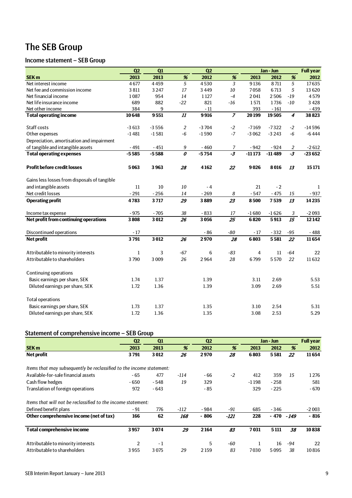# The SEB Group

# Income statement – SEB Group

|                                              | Q <sub>2</sub>     | Q1                 |                        | Q <sub>2</sub>     |                |                    | Jan - Jun          |                        | <b>Full year</b>    |
|----------------------------------------------|--------------------|--------------------|------------------------|--------------------|----------------|--------------------|--------------------|------------------------|---------------------|
| <b>SEK m</b>                                 | 2013               | 2013               | %                      | 2012               | %              | 2013               | 2012               | $\%$                   | 2012                |
| Net interest income                          | 4677               | 4459               | 5                      | 4530               | $\overline{3}$ | 9136               | 8711               | 5                      | 17635               |
| Net fee and commission income                | 3811               | 3247               | 17                     | 3449               | 10             | 7058               | 6713               | 5                      | 13 6 20             |
| Net financial income                         | 1087               | 954                | 14                     | 1127               | $-4$           | 2041               | 2506               | $-19$                  | 4579                |
| Net life insurance income                    | 689                | 882                | $-22$                  | 821                | $-16$          | 1571               | 1736               | $-10$                  | 3428                |
| Net other income                             | 384                | 9                  |                        | $-11$              |                | 393                | $-161$             |                        | $-439$              |
| <b>Total operating income</b>                | 10648              | 9551               |                        | 9916               | $\overline{7}$ | 20199              | 19505              | $\boldsymbol{4}$       | 38823               |
| Staff costs                                  |                    |                    |                        |                    |                |                    |                    |                        |                     |
|                                              | $-3613$<br>$-1481$ | $-3556$<br>$-1581$ | $\overline{2}$<br>$-6$ | $-3704$<br>$-1590$ | $-2$<br>$-7$   | $-7169$<br>$-3062$ | $-7322$<br>$-3243$ | $-2$<br>$-6$           | $-14596$<br>$-6444$ |
| Other expenses                               |                    |                    |                        |                    |                |                    |                    |                        |                     |
| Depreciation, amortisation and impairment    |                    |                    |                        |                    |                |                    |                    |                        |                     |
| of tangible and intangible assets            | $-491$<br>$-5585$  | $-451$<br>$-5588$  | $\boldsymbol{9}$<br>0  | $-460$<br>$-5754$  | 7<br>$-3$      | $-942$<br>$-11173$ | $-924$<br>$-11489$ | $\overline{2}$<br>$-3$ | $-2612$<br>$-23652$ |
| <b>Total operating expenses</b>              |                    |                    |                        |                    |                |                    |                    |                        |                     |
| <b>Profit before credit losses</b>           | 5063               | 3963               | 28                     | 4162               | 22             | 9026               | 8016               | 13                     | 15171               |
| Gains less losses from disposals of tangible |                    |                    |                        |                    |                |                    |                    |                        |                     |
| and intangible assets                        | 11                 | 10                 | 10                     | $-4$               |                | 21                 | $-2$               |                        | 1                   |
| Net credit losses                            | $-291$             | $-256$             | 14                     | $-269$             | 8              | $-547$             | $-475$             | 15                     | $-937$              |
| <b>Operating profit</b>                      | 4783               | 3717               | 29                     | 3889               | 23             | 8500               | 7539               | 13                     | 14235               |
| Income tax expense                           | $-975$             | $-705$             | $38\,$                 | $-833$             | 17             | $-1680$            | $-1626$            | 3                      | $-2093$             |
| Net profit from continuing operations        | 3808               | 3012               | $\overline{26}$        | 3056               | 25             | 6820               | 5913               | $\overline{15}$        | 12142               |
| Discontinued operations                      | $-17$              |                    |                        | $-86$              | $-80$          | $-17$              | $-332$             | $-95$                  | $-488$              |
| <b>Net profit</b>                            | 3791               | 3012               | 26                     | 2970               | 28             | 6803               | 5581               | 22                     | 11654               |
| Attributable to minority interests           | $\mathbf{1}$       | 3                  | $-67$                  | 6                  | $-83$          | 4                  | 11                 | $-64$                  | 22                  |
| Attributable to shareholders                 | 3790               | 3009               | 26                     | 2964               | 28             | 6799               | 5570               | 22                     | 11632               |
| Continuing operations                        |                    |                    |                        |                    |                |                    |                    |                        |                     |
| Basic earnings per share, SEK                | 1.74               | 1.37               |                        | 1.39               |                | 3.11               | 2.69               |                        | 5.53                |
| Diluted earnings per share, SEK              | 1.72               | 1.36               |                        | 1.39               |                | 3.09               | 2.69               |                        | 5.51                |
| <b>Total operations</b>                      |                    |                    |                        |                    |                |                    |                    |                        |                     |
| Basic earnings per share, SEK                | 1.73               | 1.37               |                        | 1.35               |                | 3.10               | 2.54               |                        | 5.31                |
| Diluted earnings per share, SEK              | 1.72               | 1.36               |                        | 1.35               |                | 3.08               | 2.53               |                        | 5.29                |

# Statement of comprehensive income – SEB Group

|                                                                      | Q <sub>2</sub> | Q1     |      | Q2     |       |         | Jan - Jun |        | <b>Full year</b> |
|----------------------------------------------------------------------|----------------|--------|------|--------|-------|---------|-----------|--------|------------------|
| <b>SEK m</b>                                                         | 2013           | 2013   | %    | 2012   | %     | 2013    | 2012      | %      | 2012             |
| Net profit                                                           | 3791           | 3012   | 26   | 2970   | 28    | 6803    | 5581      | 22     | 11654            |
|                                                                      |                |        |      |        |       |         |           |        |                  |
| Items that may subsequently be reclassified to the income statement: |                |        |      |        |       |         |           |        |                  |
| Available-for-sale financial assets                                  | $-65$          | 477    | -114 | - 66   | $-2$  | 412     | 359       | 15     | 1276             |
| Cash flow hedges                                                     | - 650          | $-548$ | 19   | 329    |       | $-1198$ | $-258$    |        | 581              |
| Translation of foreign operations                                    | 972            | $-643$ |      | $-85$  |       | 329     | $-225$    |        | $-670$           |
| Items that will not be reclassified to the income statement:         |                |        |      |        |       |         |           |        |                  |
| Defined benefit plans                                                | - 91           | 776    | -112 | - 984  | -91   | 685     | $-346$    |        | $-2003$          |
| Other comprehensive income (net of tax)                              | 166            | 62     | 168  | $-806$ | -121  | 228     | - 470     | $-149$ | $-816$           |
| <b>Total comprehensive income</b>                                    | 3957           | 3074   | 29   | 2164   | 83    | 7031    | 5111      | 38     | 10838            |
| Attributable to minority interests                                   | 2              | $-1$   |      | 5      | $-60$ |         | 16        | -94    | 22               |
| Attributable to shareholders                                         | 3955           | 3075   | 29   | 2159   | 83    | 7030    | 5095      | 38     | 10816            |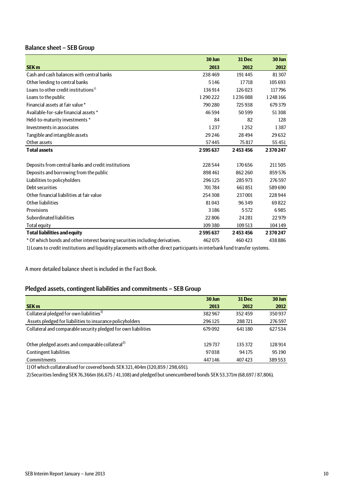# Balance sheet – SEB Group

|                                                                                                                           | 30 Jun  | <b>31 Dec</b> | 30 Jun  |
|---------------------------------------------------------------------------------------------------------------------------|---------|---------------|---------|
| <b>SEK m</b>                                                                                                              | 2013    | 2012          | 2012    |
| Cash and cash balances with central banks                                                                                 | 238469  | 191445        | 81307   |
| Other lending to central banks                                                                                            | 5146    | 17718         | 105 693 |
| Loans to other credit institutions <sup>1)</sup>                                                                          | 136914  | 126023        | 117796  |
| Loans to the public                                                                                                       | 1290222 | 1236088       | 1248166 |
| Financial assets at fair value *                                                                                          | 790 280 | 725938        | 679379  |
| Available-for-sale financial assets *                                                                                     | 46594   | 50599         | 51308   |
| Held-to-maturity investments *                                                                                            | 84      | 82            | 128     |
| Investments in associates                                                                                                 | 1237    | 1252          | 1387    |
| Tangible and intangible assets                                                                                            | 29 24 6 | 28494         | 29632   |
| Other assets                                                                                                              | 57445   | 75817         | 55451   |
| <b>Total assets</b>                                                                                                       | 2595637 | 2453456       | 2370247 |
|                                                                                                                           |         |               |         |
| Deposits from central banks and credit institutions                                                                       | 228544  | 170656        | 211505  |
| Deposits and borrowing from the public                                                                                    | 898461  | 862 260       | 859576  |
| Liabilities to policyholders                                                                                              | 296125  | 285973        | 276597  |
| Debt securities                                                                                                           | 701784  | 661851        | 589690  |
| Other financial liabilities at fair value                                                                                 | 254308  | 237001        | 228944  |
| Other liabilities                                                                                                         | 81043   | 96349         | 69822   |
| Provisions                                                                                                                | 3186    | 5572          | 6985    |
| Subordinated liabilities                                                                                                  | 22806   | 24 2 81       | 22979   |
| Total equity                                                                                                              | 109380  | 109513        | 104149  |
| <b>Total liabilities and equity</b>                                                                                       | 2595637 | 2453456       | 2370247 |
| * Of which bonds and other interest bearing securities including derivatives.                                             | 462075  | 460423        | 438886  |
| 1) Long to qualit institutions and limidity placements with other divest nortiainants in interlead fund transfer oustance |         |               |         |

1) Loans to credit institutions and liquidity placements with other direct participants in interbank fund transfer systems.

A more detailed balance sheet is included in the Fact Book.

### Pledged assets, contingent liabilities and commitments – SEB Group

|                                                                | 30 Jun | <b>31 Dec</b> | 30 Jun |
|----------------------------------------------------------------|--------|---------------|--------|
| <b>SEK m</b>                                                   | 2013   | 2012          | 2012   |
| Collateral pledged for own liabilities <sup>1)</sup>           | 382967 | 352459        | 350937 |
| Assets pledged for liabilities to insurance policyholders      | 296125 | 288721        | 276597 |
| Collateral and comparable security pledged for own liabilities | 679092 | 641180        | 627534 |
| Other pledged assets and comparable collateral <sup>2)</sup>   | 129737 | 135372        | 128914 |
| <b>Contingent liabilities</b>                                  | 97038  | 94 175        | 95 190 |
| Commitments                                                    | 447146 | 407423        | 389553 |

1) Of which collateralised for covered bonds SEK 321,404m (320,859 / 298,691).

2) Securities lending SEK 76,366m (66,675 / 41,108) and pledged but unencumbered bonds SEK 53,371m (68,697 / 87,806).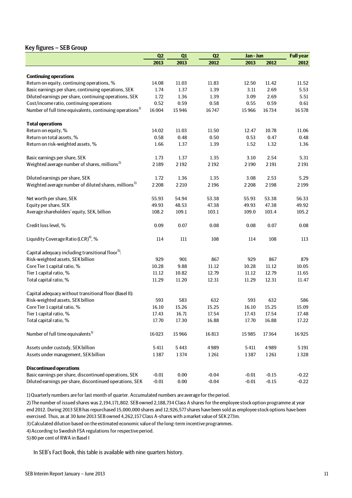# Key figures – SEB Group

|                                                                      | Q2      | Q1       | Q2      | Jan - Jun |         | <b>Full year</b> |
|----------------------------------------------------------------------|---------|----------|---------|-----------|---------|------------------|
|                                                                      | 2013    | 2013     | 2012    | 2013      | 2012    | 2012             |
|                                                                      |         |          |         |           |         |                  |
| <b>Continuing operations</b>                                         |         |          |         |           |         |                  |
| Return on equity, continuing operations, %                           | 14.08   | 11.03    | 11.83   | 12.50     | 11.42   | 11.52            |
| Basic earnings per share, continuing operations, SEK                 | 1.74    | 1.37     | 1.39    | 3.11      | 2.69    | 5.53             |
| Diluted earnings per share, continuing operations, SEK               | 1.72    | 1.36     | 1.39    | 3.09      | 2.69    | 5.51             |
| Cost/income ratio, continuing operations                             | 0.52    | 0.59     | 0.58    | 0.55      | 0.59    | 0.61             |
| Number of full time equivalents, continuing operations <sup>1)</sup> | 16004   | 15946    | 16747   | 15966     | 16734   | 16578            |
| <b>Total operations</b>                                              |         |          |         |           |         |                  |
| Return on equity, %                                                  | 14.02   | 11.03    | 11.50   | 12.47     | 10.78   | 11.06            |
| Return on total assets, %                                            | 0.58    | 0.48     | 0.50    | 0.53      | 0.47    | 0.48             |
| Return on risk-weighted assets, %                                    | 1.66    | 1.37     | 1.39    | 1.52      | 1.32    | 1.36             |
| Basic earnings per share, SEK                                        | 1.73    | 1.37     | 1.35    | 3.10      | 2.54    | 5.31             |
| Weighted average number of shares, millions <sup>2)</sup>            | 2189    | 2192     | 2192    | 2190      | 2 1 9 1 | 2 1 9 1          |
| Diluted earnings per share, SEK                                      | 1.72    | 1.36     | 1.35    | 3.08      | 2.53    | 5.29             |
| Weighted average number of diluted shares, millions <sup>3)</sup>    | 2208    | 2 2 1 0  | 2196    | 2 2 0 8   | 2198    | 2199             |
|                                                                      |         |          |         |           |         |                  |
| Net worth per share, SEK                                             | 55.93   | 54.94    | 53.38   | 55.93     | 53.38   | 56.33            |
| Equity per share, SEK                                                | 49.93   | 48.53    | 47.38   | 49.93     | 47.38   | 49.92            |
| Average shareholders' equity, SEK, billion                           | 108.2   | 109.1    | 103.1   | 109.0     | 103.4   | 105.2            |
| Credit loss level, %                                                 | 0.09    | 0.07     | 0.08    | 0.08      | 0.07    | 0.08             |
| Liquidity Coverage Ratio (LCR) <sup>4)</sup> , %                     | 114     | 111      | 108     | 114       | 108     | 113              |
| Capital adequacy including transitional floor <sup>5)</sup> :        |         |          |         |           |         |                  |
| Risk-weighted assets, SEK billion                                    | 929     | 901      | 867     | 929       | 867     | 879              |
| Core Tier 1 capital ratio, %                                         | 10.28   | 9.88     | 11.12   | 10.28     | 11.12   | 10.05            |
| Tier 1 capital ratio, %                                              | 11.12   | 10.82    | 12.79   | 11.12     | 12.79   | 11.65            |
| Total capital ratio, %                                               | 11.29   | 11.20    | 12.31   | 11.29     | 12.31   | 11.47            |
| Capital adequacy without transitional floor (Basel II):              |         |          |         |           |         |                  |
| Risk-weighted assets, SEK billion                                    | 593     | 583      | 632     | 593       | 632     | 586              |
| Core Tier 1 capital ratio, %                                         | 16.10   | 15.26    | 15.25   | 16.10     | 15.25   | 15.09            |
| Tier 1 capital ratio, %                                              | 17.43   | 16.71    | 17.54   | 17.43     | 17.54   | 17.48            |
| Total capital ratio, %                                               | 17.70   | 17.30    | 16.88   | 17.70     | 16.88   | 17.22            |
|                                                                      |         |          |         |           |         |                  |
| Number of full time equivalents <sup>1)</sup>                        | 16023   | 15966    | 16813   | 15985     | 17364   | 16925            |
| Assets under custody, SEK billion                                    | 5411    | 5443     | 4989    | 5411      | 4989    | 5 1 9 1          |
| Assets under management, SEK billion                                 | 1387    | 1374     | 1261    | 1387      | 1261    | 1328             |
| <b>Discontinued operations</b>                                       |         |          |         |           |         |                  |
| Basic earnings per share, discontinued operations, SEK               | $-0.01$ | 0.00     | $-0.04$ | $-0.01$   | $-0.15$ | $-0.22$          |
| Diluted earnings per share, discontinued operations, SEK             | $-0.01$ | $0.00\,$ | $-0.04$ | $-0.01$   | $-0.15$ | $-0.22$          |

1) Quarterly numbers are for last month of quarter. Accumulated numbers are average for the period.

2) The number of issued shares was 2,194,171,802. SEB owned 2,188,734 Class A shares for the employee stock option programme at year end 2012. During 2013 SEB has repurchased 15,000,000 shares and 12,926,577 shares have been sold as employee stock options have been exercised. Thus, as at 30 June 2013 SEB owned 4,262,157 Class A-shares with a market value of SEK 273m.

3) Calculated dilution based on the estimated economic value of the long-term incentive programmes.

4) According to Swedish FSA regulations for respective period.

5) 80 per cent of RWA in Basel I

In SEB's Fact Book, this table is available with nine quarters history.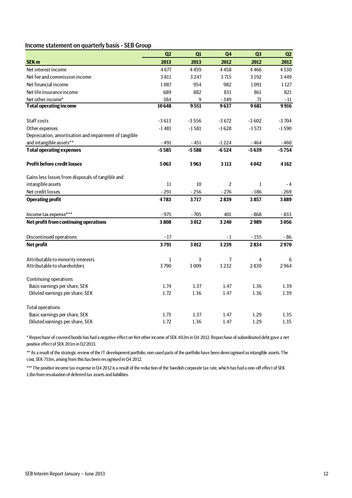### Income statement on quarterly basis - SEB Group

|                                                                    | Q2                   | Q1           | Q <sub>4</sub> | Q <sub>3</sub> | Q2        |
|--------------------------------------------------------------------|----------------------|--------------|----------------|----------------|-----------|
| <b>SEK m</b>                                                       | 2013                 | 2013         | 2012           | 2012           | 2012      |
| Net interest income                                                | 4677                 | 4459         | 4458           | 4466           | 4530      |
| Net fee and commission income                                      | 3811                 | 3 2 4 7      | 3715           | 3 1 9 2        | 3 4 4 9   |
| Net financial income                                               | 1087                 | 954          | 982            | 1091           | 1127      |
| Net life insurance income                                          | 689                  | 882          | 831            | 861            | 821       |
| Net other income*                                                  | 384                  | 9            | $-349$         | 71             | - 11      |
| <b>Total operating income</b>                                      | 10648                | 9551         | 9637           | 9681           | 9916      |
|                                                                    |                      |              |                |                |           |
| Staff costs                                                        | $-3613$              | $-3556$      | $-3672$        | $-3602$        | $-3704$   |
| Other expenses                                                     | $-1481$              | $-1581$      | $-1628$        | $-1573$        | $-1590$   |
| Depreciation, amortisation and impairment of tangible              |                      |              |                |                |           |
| and intangible assets**                                            | $-491$               | $-451$       | $-1224$        | $-464$         | $-460$    |
| <b>Total operating expenses</b>                                    | $-5585$              | $-5588$      | $-6524$        | $-5639$        | $-5754$   |
| <b>Profit before credit losses</b>                                 | 5063                 | 3963         | 3 1 1 3        | 4042           | 4162      |
| Gains less losses from disposals of tangible and                   |                      |              |                |                |           |
| intangible assets                                                  | 11                   | 10           | $\overline{2}$ | $\mathbf{1}$   | $-4$      |
| Net credit losses                                                  | $-291$               | $-256$       | $-276$         | $-186$         | $-269$    |
| <b>Operating profit</b>                                            | 4783                 | 3717         | 2839           | 3857           | 3889      |
| Income tax expense***                                              | $-975$               | $-705$       | 401            | $-868$         | $-833$    |
| Net profit from continuing operations                              | 3808                 | 3012         | 3 2 4 0        | 2989           | 3056      |
| Discontinued operations                                            | $-17$                |              | $-1$           | $-155$         | - 86      |
| Net profit                                                         | 3791                 | 3012         | 3239           | 2834           | 2970      |
|                                                                    |                      |              |                |                |           |
| Attributable to minority interests<br>Attributable to shareholders | $\mathbf{1}$<br>3790 | 3<br>3 0 0 9 | 7<br>3232      | 4<br>2830      | 6<br>2964 |
|                                                                    |                      |              |                |                |           |
| Continuing operations                                              |                      |              |                |                |           |
| Basic earnings per share, SEK                                      | 1.74                 | 1.37         | 1.47           | 1.36           | 1.39      |
| Diluted earnings per share, SEK                                    | 1.72                 | 1.36         | 1.47           | 1.36           | 1.39      |
| <b>Total operations</b>                                            |                      |              |                |                |           |
| Basic earnings per share, SEK                                      | 1.73                 | 1.37         | 1.47           | 1.29           | 1.35      |
| Diluted earnings per share, SEK                                    | 1.72                 | 1.36         | 1.47           | 1.29           | 1.35      |

\* Repurchase of covered bonds has had a negative effect on Net other income of SEK 402m in Q4 2012. Repurchase of subordinated debt gave a net positive effect of SEK 201m in Q2 2013.

\*\* As a result of the strategic review of the IT development portfolio, non-used parts of the portfolio have been derecognised as intangible assets. The cost, SEK 753m, arising from this has been recognised in Q4 2012.

\*\*\* The positive income tax expense in Q4 2012 is a result of the reduction of the Swedish corporate tax rate, which has had a one-off effect of SEK 1.1bn from revaluation of deferred tax assets and liabilities.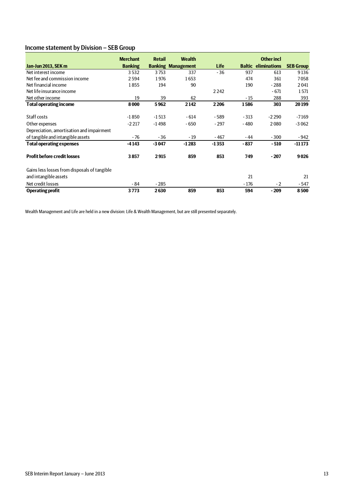# Income statement by Division – SEB Group

|                                              | <b>Merchant</b> | <b>Retail</b> | <b>Wealth</b>             |             |               | <b>Other incl</b> |                  |
|----------------------------------------------|-----------------|---------------|---------------------------|-------------|---------------|-------------------|------------------|
| Jan-Jun 2013, SEK m                          | <b>Banking</b>  |               | <b>Banking Management</b> | <b>Life</b> | <b>Baltic</b> | eliminations      | <b>SEB Group</b> |
| Net interest income                          | 3532            | 3753          | 337                       | $-36$       | 937           | 613               | 9136             |
| Net fee and commission income                | 2594            | 1976          | 1653                      |             | 474           | 361               | 7058             |
| Net financial income                         | 1855            | 194           | 90                        |             | 190           | $-288$            | 2041             |
| Net life insurance income                    |                 |               |                           | 2242        |               | $-671$            | 1571             |
| Net other income                             | 19              | 39            | 62                        |             | $-15$         | 288               | 393              |
| <b>Total operating income</b>                | 8000            | 5962          | 2142                      | 2206        | 1586          | 303               | 20199            |
| Staff costs                                  | $-1850$         | $-1513$       | $-614$                    | - 589       | $-313$        | $-2290$           | $-7169$          |
|                                              | $-2217$         | $-1498$       | - 650                     | $-297$      | $-480$        | 2080              | $-3062$          |
| Other expenses                               |                 |               |                           |             |               |                   |                  |
| Depreciation, amortisation and impairment    |                 |               |                           |             |               |                   |                  |
| of tangible and intangible assets            | $-76$           | $-36$         | $-19$                     | $-467$      | - 44          | $-300$            | - 942            |
| <b>Total operating expenses</b>              | $-4143$         | $-3047$       | $-1283$                   | $-1353$     | $-837$        | $-510$            | $-111173$        |
| <b>Profit before credit losses</b>           | 3857            | 2915          | 859                       | 853         | 749           | $-207$            | 9026             |
| Gains less losses from disposals of tangible |                 |               |                           |             |               |                   |                  |
| and intangible assets                        |                 |               |                           |             | 21            |                   | 21               |
| Net credit losses                            | $-84$           | $-285$        |                           |             | $-176$        | $-2$              | $-547$           |
| <b>Operating profit</b>                      | 3773            | 2630          | 859                       | 853         | 594           | $-209$            | 8500             |

Wealth Management and Life are held in a new division: Life & Wealth Management, but are still presented separately.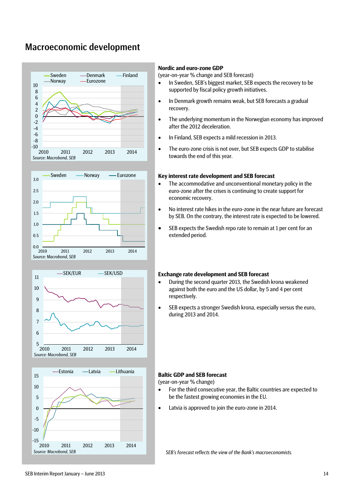# Macroeconomic development









### **Nordic and euro-zone GDP**

(year-on-year % change and SEB forecast)

- In Sweden, SEB's biggest market, SEB expects the recovery to be supported by fiscal policy growth initiatives.
- In Denmark growth remains weak, but SEB forecasts a gradual recovery.
- The underlying momentum in the Norwegian economy has improved after the 2012 deceleration.
- In Finland, SEB expects a mild recession in 2013.
- The euro-zone crisis is not over, but SEB expects GDP to stabilise towards the end of this year.

### **Key interest rate development and SEB forecast**

- The accommodative and unconventional monetary policy in the euro-zone after the crises is continuing to create support for economic recovery.
- No interest rate hikes in the euro-zone in the near future are forecast by SEB. On the contrary, the interest rate is expected to be lowered.
- SEB expects the Swedish repo rate to remain at 1 per cent for an extended period.

#### **Exchange rate development and SEB forecast**

- During the second quarter 2013, the Swedish krona weakened against both the euro and the US dollar, by 5 and 4 per cent respectively.
- SEB expects a stronger Swedish krona, especially versus the euro, during 2013 and 2014.

### **Baltic GDP and SEB forecast**

(year-on-year % change)

- For the third consecutive year, the Baltic countries are expected to be the fastest growing economies in the EU.
- Latvia is approved to join the euro-zone in 2014.

*SEB's forecast reflects the view of the Bank's macroeconomists.*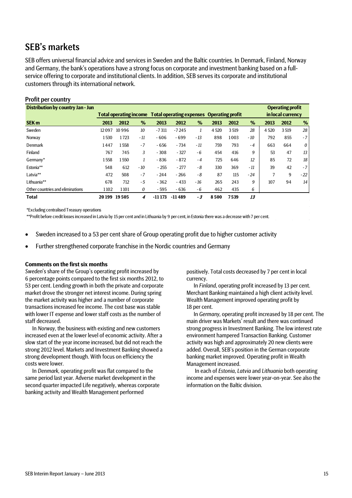# SEB's markets

SEB offers universal financial advice and services in Sweden and the Baltic countries. In Denmark, Finland, Norway and Germany, the bank's operations have a strong focus on corporate and investment banking based on a fullservice offering to corporate and institutional clients. In addition, SEB serves its corporate and institutional customers through its international network.

### Profit per country

| <b>Distribution by country Jan - Jun</b> |       |               |       |          |                                                                         |       |        |      |       |        | <b>Operating profit</b> |       |
|------------------------------------------|-------|---------------|-------|----------|-------------------------------------------------------------------------|-------|--------|------|-------|--------|-------------------------|-------|
|                                          |       |               |       |          | <b>Total operating income Total operating expenses Operating profit</b> |       |        |      |       |        | in local currency       |       |
| <b>SEK m</b>                             | 2013  | 2012          | $\%$  | 2013     | 2012                                                                    | %     | 2013   | 2012 | %     | 2013   | 2012                    | %     |
| Sweden                                   | 12097 | 10996         | 10    | $-7311$  | $-7245$                                                                 |       | 4 5 20 | 3519 | 28    | 4 5 20 | 3519                    | 28    |
| Norway                                   | 1530  | 1723          | - 11  | $-606$   | $-699$                                                                  | $-13$ | 898    | 1003 | $-10$ | 792    | 855                     | $-7$  |
| <b>Denmark</b>                           | 1447  | 1558          | $-7$  | $-656$   | $-734$                                                                  | $-11$ | 759    | 793  | $-4$  | 663    | 664                     | 0     |
| Finland                                  | 767   | 745           | 3     | $-308$   | $-327$                                                                  | $-6$  | 454    | 416  | 9     | 53     | 47                      | 13    |
| Germany*                                 | 1558  | 1550          |       | $-836$   | $-872$                                                                  | $-4$  | 725    | 646  | 12    | 85     | 72                      | 18    |
| Estonia**                                | 548   | 612           | $-10$ | $-255$   | $-277$                                                                  | - 8   | 330    | 369  | $-11$ | 39     | 42                      | $-7$  |
| Latvia**                                 | 472   | 508           | $-7$  | $-244$   | $-266$                                                                  | - 8   | 87     | 115  | $-24$ |        | 9                       | $-22$ |
| Lithuania**                              | 678   | 712           | $-5$  | $-362$   | $-433$                                                                  | $-16$ | 265    | 243  | 9     | 107    | 94                      | 14    |
| Other countries and eliminations         | 1102  | 1101          | 0     | $-595$   | $-636$                                                                  | $-6$  | 462    | 435  | 6     |        |                         |       |
| <b>Total</b>                             |       | 20 199 19 505 | 4     | $-11173$ | $-11489$                                                                | - 3   | 8500   | 7539 | 13    |        |                         |       |

\*Excluding centralised Treasury operations

\*\*Profit before credit losses increased in Latvia by 15 per cent and in Lithuania by 9 per cent, in Estonia there was a decrease with 7 per cent.

- Sweden increased to a 53 per cent share of Group operating profit due to higher customer activity
- Further strengthened corporate franchise in the Nordic countries and Germany

#### **Comments on the first six months**

*Sweden*'s share of the Group's operating profit increased by 6 percentage points compared to the first six months 2012, to 53 per cent. Lending growth in both the private and corporate market drove the stronger net interest income. During spring the market activity was higher and a number of corporate transactions increased fee income. The cost base was stable with lower IT expense and lower staff costs as the number of staff decreased.

In *Norway,* the business with existing and new customers increased even at the lower level of economic activity. After a slow start of the year income increased, but did not reach the strong 2012 level. Markets and Investment Banking showed a strong development though. With focus on efficiency the costs were lower.

In *Denmark,* operating profit was flat compared to the same period last year. Adverse market development in the second quarter impacted Life negatively, whereas corporate banking activity and Wealth Management performed

positively. Total costs decreased by 7 per cent in local currency.

In *Finland*, operating profit increased by 13 per cent. Merchant Banking maintained a high client activity level. Wealth Management improved operating profit by 18 per cent.

In *Germany,* operating profit increased by 18 per cent. The main driver was Markets' result and there was continued strong progress in Investment Banking. The low interest rate environment hampered Transaction Banking. Customer activity was high and approximately 20 new clients were added. Overall, SEB's position in the German corporate banking market improved. Operating profit in Wealth Management increased.

In each of *Estonia*, *Latvia* and *Lithuania* both operating income and expenses were lower year-on-year. See also the information on the Baltic division.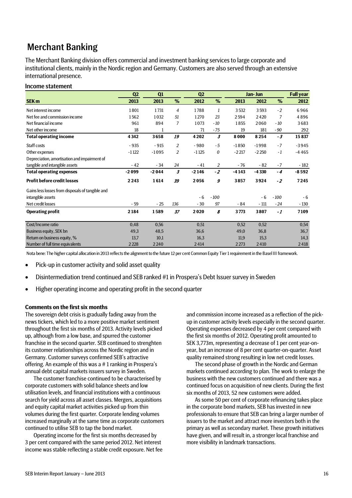# Merchant Banking

The Merchant Banking division offers commercial and investment banking services to large corporate and institutional clients, mainly in the Nordic region and Germany. Customers are also served through an extensive international presence.

### Income statement

|                                                  | Q <sub>2</sub> | Q1      |     | Q2      |        |         | Jan-Jun |        | <b>Full year</b> |
|--------------------------------------------------|----------------|---------|-----|---------|--------|---------|---------|--------|------------------|
| <b>SEK m</b>                                     | 2013           | 2013    | %   | 2012    | %      | 2013    | 2012    | %      | 2012             |
| Net interest income                              | 1801           | 1731    | 4   | 1788    | 1      | 3532    | 3593    | $-2$   | 6966             |
| Net fee and commission income                    | 1562           | 1032    | 51  | 1270    | 23     | 2594    | 2420    | 7      | 4896             |
| Net financial income                             | 961            | 894     | 7   | 1073    | $-10$  | 1855    | 2060    | $-10$  | 3683             |
| Net other income                                 | 18             |         |     | 71      | $-75$  | 19      | 181     | - 90   | 292              |
| <b>Total operating income</b>                    | 4342           | 3658    | 19  | 4202    | 3      | 8000    | 8254    | $-3$   | 15837            |
| Staff costs                                      | $-935$         | $-915$  | 2   | $-980$  | $-5$   | $-1850$ | $-1998$ | $-7$   | $-3945$          |
| Other expenses                                   | $-1122$        | $-1095$ | 2   | $-1125$ | 0      | $-2217$ | $-2250$ | $-1$   | $-4465$          |
| Depreciation, amortisation and impairment of     |                |         |     |         |        |         |         |        |                  |
| tangible and intangible assets                   | $-42$          | $-34$   | 24  | $-41$   | 2      | $-76$   | $-82$   | $-7$   | - 182            |
| <b>Total operating expenses</b>                  | $-2099$        | $-2044$ | 3   | $-2146$ | $-2$   | $-4143$ | $-4330$ | $-4$   | $-8592$          |
| <b>Profit before credit losses</b>               | 2 2 4 3        | 1614    | 39  | 2056    | 9      | 3857    | 3924    | $-2$   | 7245             |
| Gains less losses from disposals of tangible and |                |         |     |         |        |         |         |        |                  |
| intangible assets                                |                |         |     | $-6$    | $-100$ |         | $-6$    | $-100$ | $-6$             |
| Net credit losses                                | $-59$          | $-25$   | 136 | $-30$   | 97     | - 84    | $-111$  | - 24   | $-130$           |
| <b>Operating profit</b>                          | 2184           | 1589    | 37  | 2020    | 8      | 3773    | 3807    | $-1$   | 7109             |
| Cost/Income ratio                                | 0,48           | 0,56    |     | 0,51    |        | 0,52    | 0,52    |        | 0,54             |
| Business equity, SEK bn                          | 49,3           | 48,5    |     | 36,6    |        | 49,0    | 36,8    |        | 36,7             |
| Return on business equity, %                     | 13,7           | 10,1    |     | 16,3    |        | 11,9    | 15,3    |        | 14,3             |
| Number of full time equivalents                  | 2228           | 2240    |     | 2414    |        | 2273    | 2410    |        | 2418             |

Nota bene: The higher capital allocation in 2013 reflects the alignment to the future 12 per cent Common Equity Tier 1 requirement in the Basel III framework.

- Pick-up in customer activity and solid asset quality
- Disintermediation trend continued and SEB ranked #1 in Prospera's Debt Issuer survey in Sweden
- Higher operating income and operating profit in the second quarter

### **Comments on the first six months**

The sovereign debt crisis is gradually fading away from the news tickers, which led to a more positive market sentiment throughout the first six months of 2013. Activity levels picked up, although from a low base, and spurred the customer franchise in the second quarter. SEB continued to strenghten its customer relationships across the Nordic region and in Germany. Customer surveys confirmed SEB's attractive offering. An example of this was a # 1 ranking in Prospera's annual debt capital markets issuers survey in Sweden.

The customer franchise continued to be characterised by corporate customers with solid balance sheets and low utilisation levels, and financial institutions with a continuous search for yield across all asset classes. Mergers, acquisitions and equity capital market activities picked up from thin volumes during the first quarter. Corporate lending volumes increased marginally at the same time as corporate customers continued to utilise SEB to tap the bond market.

Operating income for the first six months decreased by 3 per cent compared with the same period 2012. Net interest income was stable reflecting a stable credit exposure. Net fee and commission income increased as a reflection of the pickup in customer activity levels especially in the second quarter. Operating expenses decreased by 4 per cent compared with the first six months of 2012. Operating profit amounted to SEK 3,773m, representing a decrease of 1 per cent year-onyear, but an increase of 8 per cent quarter-on-quarter. Asset quality remained strong resulting in low net credit losses.

The second phase of growth in the Nordic and German markets continued according to plan. The work to enlarge the business with the new customers continued and there was a continued focus on acquisition of new clients. During the first six months of 2013, 52 new customers were added.

As some 50 per cent of corporate refinancing takes place in the corporate bond markets, SEB has invested in new professionals to ensure that SEB can bring a larger number of issuers to the market and attract more investors both in the primary as well as secondary market. These growth initiatives have given, and will result in, a stronger local franchise and more visibility in landmark transactions.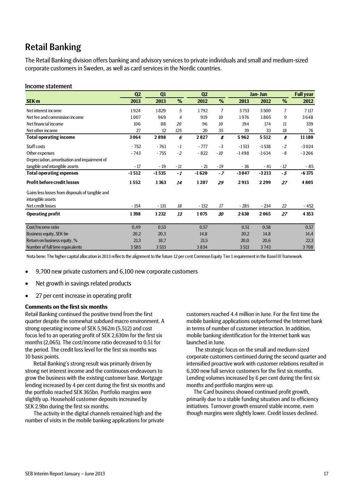# Retail Banking

The Retail Banking division offers banking and advisory services to private individuals and small and medium-sized corporate customers in Sweden, as well as card services in the Nordic countries.

### Income statement

|                                                  | Q <sub>2</sub> | Q1      |                | Q <sub>2</sub> |       |         | Jan- Jun |       | <b>Full year</b> |
|--------------------------------------------------|----------------|---------|----------------|----------------|-------|---------|----------|-------|------------------|
| <b>SEK m</b>                                     | 2013           | 2013    | %              | 2012           | %     | 2013    | 2012     | %     | 2012             |
| Net interest income                              | 1924           | 1829    | 5              | 1792           | 7     | 3753    | 3500     | 7     | 7 1 17           |
| Net fee and commission income                    | 1007           | 969     | $\overline{4}$ | 919            | 10    | 1976    | 1805     | 9     | 3648             |
| Net financial income                             | 106            | 88      | 20             | 96             | 10    | 194     | 174      | 11    | 339              |
| Net other income                                 | 27             | 12      | 125            | 20             | 35    | 39      | 33       | 18    | 76               |
| <b>Total operating income</b>                    | 3064           | 2898    | 6              | 2827           | 8     | 5962    | 5512     | 8     | 11180            |
| Staff costs                                      | $-752$         | $-761$  | $-1$           | $-777$         | $-3$  | $-1513$ | $-1538$  | $-2$  | $-3024$          |
| Other expenses                                   | $-743$         | $-755$  | $-2$           | $-822$         | $-10$ | $-1498$ | $-1634$  | $-8$  | $-3266$          |
| Depreciation, amortisation and impairment of     |                |         |                |                |       |         |          |       |                  |
| tangible and intangible assets                   | $-17$          | $-19$   | $-11$          | $-21$          | $-19$ | $-36$   | $-41$    | $-12$ | - 85             |
| <b>Total operating expenses</b>                  | $-1512$        | $-1535$ | -1             | $-1620$        | $-7$  | $-3047$ | $-3213$  | $-5$  | $-6375$          |
| <b>Profit before credit losses</b>               | 1552           | 1363    | 14             | 1207           | 29    | 2915    | 2299     | 27    | 4805             |
| Gains less losses from disposals of tangible and |                |         |                |                |       |         |          |       |                  |
| intangible assets                                |                |         |                |                |       |         |          |       |                  |
| Net credit losses                                | $-154$         | $-131$  | 18             | $-132$         | 17    | $-285$  | $-234$   | 22    | - 452            |
| <b>Operating profit</b>                          | 1398           | 1232    | 13             | 1075           | 30    | 2630    | 2065     | 27    | 4 3 5 3          |
|                                                  |                |         |                |                |       |         |          |       |                  |
| Cost/Income ratio                                | 0,49           | 0,53    |                | 0,57           |       | 0,51    | 0,58     |       | 0,57             |
| Business equity, SEK bn                          | 20,2           | 20,3    |                | 14,8           |       | 20,2    | 14,8     |       | 14,4             |
| Return on business equity, %                     | 21,3           | 18,7    |                | 21,5           |       | 20,0    | 20,6     |       | 22,3             |
| Number of full time equivalents                  | 3585           | 3533    |                | 3834           |       | 3513    | 3743     |       | 3708             |

Nota bene: The higher capital allocation in 2013 reflects the alignment to the future 12 per cent Common Equity Tier 1 requirement in the Basel III framework.

- 9,700 new private customers and 6,100 new corporate customers
- Net growth in savings related products
- 27 per cent increase in operating profit

### **Comments on the first six months**

Retail Banking continued the positive trend from the first quarter despite the somewhat subdued macro environment. A strong operating income of SEK 5,962m (5,512) and cost focus led to an operating profit of SEK 2,630m for the first six months (2,065). The cost/income ratio decreased to 0.51 for the period. The credit loss level for the first six months was 10 basis points.

Retail Banking's strong result was primarily driven by strong net interest income and the continuous endeavours to grow the business with the existing customer base. Mortgage lending increased by 4 per cent during the first six months and the portfolio reached SEK 365bn. Portfolio margins were slightly up. Household customer deposits increased by SEK 2.9bn during the first six months.

The activity in the digital channels remained high and the number of visits in the mobile banking applications for private

customers reached 4.4 million in June. For the first time the mobile banking applications outperformed the Internet bank in terms of number of customer interaction. In addition, mobile banking identification for the Internet bank was launched in June.

The strategic focus on the small and medium-sized corporate customers continued during the second quarter and intensified proactive work with customer relations resulted in 6,100 new full service customers for the first six months. Lending volumes increased by 6 per cent during the first six months and portfolio margins were up.

The Card business showed continued profit growth, primarily due to a stable funding situation and to efficiency initiatives. Turnover growth ensured stable income, even though margins were slightly lower. Credit losses declined.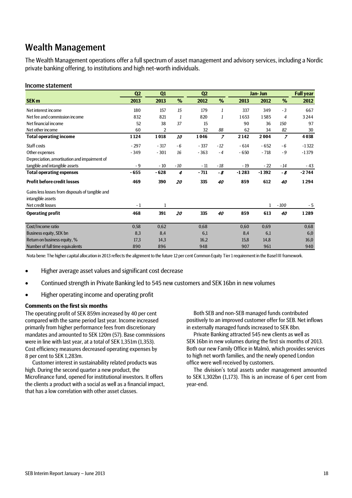# Wealth Management

The Wealth Management operations offer a full spectrum of asset management and advisory services, including a Nordic private banking offering, to institutions and high net-worth individuals.

### Income statement

|                                                  | Q <sub>2</sub> | Q1             |       | Q <sub>2</sub> |                |         | Jan- Jun |                | <b>Full year</b> |
|--------------------------------------------------|----------------|----------------|-------|----------------|----------------|---------|----------|----------------|------------------|
| <b>SEK m</b>                                     | 2013           | 2013           | %     | 2012           | %              | 2013    | 2012     | %              | 2012             |
| Net interest income                              | 180            | 157            | 15    | 179            | 1              | 337     | 349      | $-3$           | 667              |
| Net fee and commission income                    | 832            | 821            | 1     | 820            | 1              | 1653    | 1585     | 4              | 3244             |
| Net financial income                             | 52             | 38             | 37    | 15             |                | 90      | 36       | 150            | 97               |
| Net other income                                 | 60             | $\overline{2}$ |       | 32             | 88             | 62      | 34       | 82             | 30               |
| <b>Total operating income</b>                    | 1124           | 1018           | 10    | 1046           | $\overline{z}$ | 2 1 4 2 | 2004     | $\overline{z}$ | 4038             |
| Staff costs                                      | $-297$         | $-317$         | $-6$  | $-337$         | $-12$          | $-614$  | $-652$   | - 6            | $-1322$          |
| Other expenses                                   | $-349$         | $-301$         | 16    | $-363$         | $-4$           | $-650$  | $-718$   | $-9$           | $-1379$          |
| Depreciation, amortisation and impairment of     |                |                |       |                |                |         |          |                |                  |
| tangible and intangible assets                   | $-9$           | $-10$          | $-10$ | $-11$          | $-18$          | $-19$   | $-22$    | $-14$          | $-43$            |
| <b>Total operating expenses</b>                  | $-655$         | $-628$         | 4     | $-711$         | - 8            | $-1283$ | $-1392$  | - 8            | $-2744$          |
| <b>Profit before credit losses</b>               | 469            | 390            | 20    | 335            | 40             | 859     | 612      | 40             | 1294             |
| Gains less losses from disposals of tangible and |                |                |       |                |                |         |          |                |                  |
| intangible assets                                |                |                |       |                |                |         |          |                |                  |
| Net credit losses                                | - 1            |                |       |                |                |         | 1        | $-100$         | - 5              |
| <b>Operating profit</b>                          | 468            | 391            | 20    | 335            | 40             | 859     | 613      | 40             | 1289             |
| Cost/Income ratio                                | 0,58           | 0,62           |       | 0,68           |                | 0,60    | 0,69     |                | 0,68             |
| Business equity, SEK bn                          | 8,3            | 8,4            |       | 6,1            |                | 8,4     | 6,1      |                | 6,0              |
| Return on business equity, %                     | 17,3           | 14,3           |       | 16,2           |                | 15,8    | 14,8     |                | 16,0             |
| Number of full time equivalents                  | 890            | 896            |       | 948            |                | 907     | 961      |                | 940              |

Nota bene: The higher capital allocation in 2013 reflects the alignment to the future 12 per cent Common Equity Tier 1 requirement in the Basel III framework.

- Higher average asset values and significant cost decrease
- Continued strength in Private Banking led to 545 new customers and SEK 16bn in new volumes
- Higher operating income and operating profit

### **Comments on the first six months**

The operating profit of SEK 859m increased by 40 per cent compared with the same period last year. Income increased primarily from higher performance fees from discretionary mandates and amounted to SEK 120m (57). Base commissions were in line with last year, at a total of SEK 1,351m (1,353). Cost efficiency measures decreased operating expenses by 8 per cent to SEK 1,283m.

Customer interest in sustainability related products was high. During the second quarter a new product, the Microfinance fund, opened for institutional investors. It offers the clients a product with a social as well as a financial impact, that has a low correlation with other asset classes.

Both SEB and non-SEB managed funds contributed positively to an improved customer offer for SEB. Net inflows in externally managed funds increased to SEK 8bn.

Private Banking attracted 545 new clients as well as SEK 16bn in new volumes during the first six months of 2013. Both our new Family Office in Malmö, which provides services to high net worth families, and the newly opened London office were well received by customers.

The division's total assets under management amounted to SEK 1,302bn (1,173). This is an increase of 6 per cent from year-end.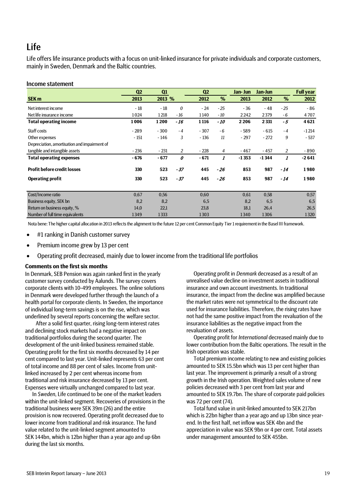# Life

Life offers life insurance products with a focus on unit-linked insurance for private individuals and corporate customers, mainly in Sweden, Denmark and the Baltic countries.

### Income statement

|                                              | Q <sub>2</sub> | Q1     |                | Q <sub>2</sub> |                | Jan- Jun | Jan-Jun |       | <b>Full year</b> |
|----------------------------------------------|----------------|--------|----------------|----------------|----------------|----------|---------|-------|------------------|
| <b>SEK m</b>                                 | 2013           | 2013 % |                | 2012           | %              | 2013     | 2012    | %     | 2012             |
| Net interest income                          | $-18$          | $-18$  | 0              | $-24$          | $-25$          | $-36$    | - 48    | $-25$ | - 86             |
| Net life insurance income                    | 1024           | 1218   | $-16$          | 1140           | $-10$          | 2242     | 2379    | - 6   | 4707             |
| <b>Total operating income</b>                | 1006           | 1200   | - 16           | 1116           | - 10           | 2 2 0 6  | 2 3 3 1 | $-5$  | 4621             |
| Staff costs                                  | $-289$         | $-300$ | $-4$           | $-307$         | $-6$           | - 589    | $-615$  | $-4$  | $-1214$          |
| Other expenses                               | $-151$         | $-146$ | 3              | $-136$         | 11             | $-297$   | $-272$  | 9     | $-537$           |
| Depreciation, amortisation and impairment of |                |        |                |                |                |          |         |       |                  |
| tangible and intangible assets               | $-236$         | $-231$ | $\overline{2}$ | $-228$         | $\overline{4}$ | $-467$   | $-457$  | 2     | - 890            |
| <b>Total operating expenses</b>              | $-676$         | $-677$ | 0              | $-671$         | 1              | $-1353$  | $-1344$ | 1     | $-2641$          |
| <b>Profit before credit losses</b>           | 330            | 523    | $-37$          | 445            | $-26$          | 853      | 987     | $-14$ | 1980             |
| <b>Operating profit</b>                      | 330            | 523    | $-37$          | 445            | $-26$          | 853      | 987     | - 14  | 1980             |
|                                              |                |        |                |                |                |          |         |       |                  |
| Cost/Income ratio                            | 0,67           | 0,56   |                | 0,60           |                | 0,61     | 0,58    |       | 0,57             |
| Business equity, SEK bn                      | 8,2            | 8,2    |                | 6,5            |                | 8,2      | 6,5     |       | 6,5              |
| Return on business equity, %                 | 14,0           | 22,1   |                | 23,8           |                | 18,1     | 26,4    |       | 26,5             |
| Number of full time equivalents              | 1349           | 1333   |                | 1303           |                | 1340     | 1306    |       | 1320             |

Nota bene: The higher capital allocation in 2013 reflects the alignment to the future 12 per cent Common Equity Tier 1 requirement in the Basel III framework.

- #1 ranking in Danish customer survey
- Premium income grew by 13 per cent
- Operating profit decreased, mainly due to lower income from the traditional life portfolios

### **Comments on the first six months**

In Denmark, SEB Pension was again ranked first in the yearly customer survey conducted by Aalunds. The survey covers corporate clients with 10-499 employees. The online solutions in Denmark were developed further through the launch of a health portal for corporate clients. In Sweden, the importance of individual long-term savings is on the rise, which was underlined by several reports concerning the welfare sector.

After a solid first quarter, rising long-term interest rates and declining stock markets had a negative impact on traditional portfolios during the second quarter. The development of the unit-linked business remained stable. Operating profit for the first six months decreased by 14 per cent compared to last year. Unit-linked represents 63 per cent of total income and 88 per cent of sales. Income from unitlinked increased by 2 per cent whereas income from traditional and risk insurance decreased by 13 per cent. Expenses were virtually unchanged compared to last year.

In *Sweden*, Life continued to be one of the market leaders within the unit-linked segment. Recoveries of provisions in the traditional business were SEK 39m (26) and the entire provision is now recovered. Operating profit decreased due to lower income from traditional and risk insurance. The fund value related to the unit-linked segment amounted to SEK 144bn, which is 12bn higher than a year ago and up 6bn during the last six months.

Operating profit in *Denmark* decreased as a result of an unrealised value decline on investment assets in traditional insurance and own account investments. In traditional insurance, the impact from the decline was amplified because the market rates were not symmetrical to the discount rate used for insurance liabilities. Therefore, the rising rates have not had the same positive impact from the revaluation of the insurance liabilities as the negative impact from the revaluation of assets.

Operating profit for *International* decreased mainly due to lower contribution from the Baltic operations. The result in the Irish operation was stable.

Total premium income relating to new and existing policies amounted to SEK 15.5bn which was 13 per cent higher than last year. The improvement is primarily a result of a strong growth in the Irish operation. Weighted sales volume of new policies decreased with 3 per cent from last year and amounted to SEK 19.7bn. The share of corporate paid policies was 72 per cent (74).

Total fund value in unit-linked amounted to SEK 217bn which is 22bn higher than a year ago and up 13bn since yearend. In the first half, net inflow was SEK 4bn and the appreciation in value was SEK 9bn or 4 per cent. Total assets under management amounted to SEK 455bn.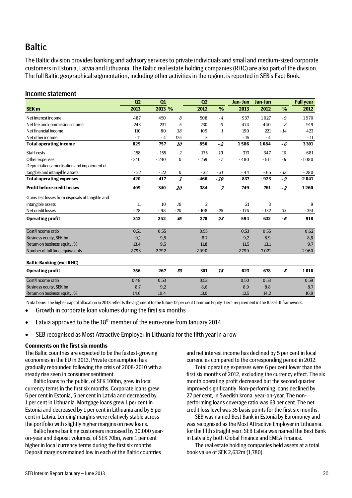# **Baltic**

The Baltic division provides banking and advisory services to private individuals and small and medium-sized corporate customers in Estonia, Latvia and Lithuania. The Baltic real estate holding companies (RHC) are also part of the division. The full Baltic geographical segmentation, including other activities in the region, is reported in SEB's Fact Book.

### Income statement

|                                                  | Q2     | Q1     |                  | Q <sub>2</sub> |              | Jan- Jun | Jan-Jun |       | <b>Full year</b> |
|--------------------------------------------------|--------|--------|------------------|----------------|--------------|----------|---------|-------|------------------|
| <b>SEK m</b>                                     | 2013   | 2013 % |                  | 2012           | %            | 2013     | 2012    | %     | 2012             |
| Net interest income                              | 487    | 450    | 8                | 508            | $-4$         | 937      | 1027    | $-9$  | 1970             |
| Net fee and commission income                    | 243    | 231    | 5                | 230            | 6            | 474      | 440     | 8     | 919              |
| Net financial income                             | 110    | 80     | 38               | 109            | $\mathbf{1}$ | 190      | 221     | $-14$ | 423              |
| Net other income                                 | $-11$  | $-4$   | 175              | 3              |              | $-15$    | $-4$    |       | $-11$            |
| <b>Total operating income</b>                    | 829    | 757    | 10               | 850            | $-2$         | 1586     | 1684    | - 6   | 3301             |
| Staff costs                                      | $-158$ | $-155$ | $\overline{c}$   | $-175$         | $-10$        | $-313$   | $-347$  | $-10$ | $-681$           |
| Other expenses                                   | $-240$ | $-240$ | 0                | $-259$         | $-7$         | $-480$   | $-511$  | $-6$  | $-1080$          |
| Depreciation, amortisation and impairment of     |        |        |                  |                |              |          |         |       |                  |
| tangible and intangible assets                   | $-22$  | $-22$  | 0                | $-32$          | $-31$        | $-44$    | $-65$   | $-32$ | $-280$           |
| <b>Total operating expenses</b>                  | $-420$ | $-417$ | $\boldsymbol{I}$ | $-466$         | $-10$        | $-837$   | $-923$  | - 9   | $-2041$          |
| <b>Profit before credit losses</b>               | 409    | 340    | 20               | 384            | 7            | 749      | 761     | $-2$  | 1260             |
| Gains less losses from disposals of tangible and |        |        |                  |                |              |          |         |       |                  |
| intangible assets                                | 11     | 10     | 10               | 2              |              | 21       | 3       |       | 9                |
| Net credit losses                                | $-78$  | $-98$  | $-20$            | $-108$         | $-28$        | $-176$   | $-132$  | 33    | $-351$           |
| <b>Operating profit</b>                          | 342    | 252    | 36               | 278            | 23           | 594      | 632     | - 6   | 918              |
| Cost/Income ratio                                | 0,51   | 0,55   |                  | 0,55           |              | 0,53     | 0,55    |       | 0,62             |
| Business equity, SEK bn                          | 9,1    | 9,5    |                  | 8,7            |              | 9,2      | 8,9     |       | 8,8              |
| Return on business equity, %                     | 13,4   | 9,5    |                  | 11,8           |              | 11,5     | 13,1    |       | 9,7              |
| Number of full time equivalents                  | 2793   | 2792   |                  | 2990           |              | 2799     | 3021    |       | 2960             |
| <b>Baltic Banking (excl RHC)</b>                 |        |        |                  |                |              |          |         |       |                  |
| <b>Operating profit</b>                          | 356    | 267    | 33               | 301            | 18           | 623      | 678     | - 8   | 1016             |
| Cost/Income ratio                                | 0,48   | 0,53   |                  | 0,52           |              | 0,50     | 0,53    |       | 0,59             |
| <b>Business equity, SEK bn</b>                   | 8,7    | 9,2    |                  | 8,6            |              | 8,9      | 8,8     |       | 8,7              |
| Return on business equity, %                     | 14,6   | 10,4   |                  | 13,0           |              | 12,5     | 14,2    |       | 10,9             |

Nota bene: The higher capital allocation in 2013 reflects the alignment to the future 12 per cent Common Equity Tier 1 requirement in the Basel III framework.

- Growth in corporate loan volumes during the first six months
- Latvia approved to be the  $18<sup>th</sup>$  member of the euro-zone from January 2014
- SEB recognised as Most Attractive Employer in Lithuania for the fifth year in a row

### **Comments on the first six months**

The Baltic countries are expected to be the fastest-growing economies in the EU in 2013. Private consumption has gradually rebounded following the crisis of 2008-2010 with a steady rise seen in consumer sentiment.

Baltic loans to the public, of SEK 100bn, grew in local currency terms in the first six months. Corporate loans grew 5 per cent in Estonia, 5 per cent in Latvia and decreased by 1 per cent in Lithuania. Mortgage loans grew 1 per cent in Estonia and decreased by 1 per cent in Lithuania and by 5 per cent in Latvia. Lending margins were relatively stable across the portfolio with slightly higher margins on new loans.

Baltic home banking customers increased by 30,000 yearon-year and deposit volumes, of SEK 70bn, were 1 per cent higher in local currency terms during the first six months. Deposit margins remained low in each of the Baltic countries

and net interest income has declined by 5 per cent in local currencies compared to the corresponding period in 2012.

Total operating expenses were 6 per cent lower than the first six months of 2012, excluding the currency effect. The six month operating profit decreased but the second quarter improved significantly. Non-performing loans declined by 27 per cent, in Swedish krona, year-on-year. The nonperforming loans coverage ratio was 63 per cent. The net credit loss level was 35 basis points for the first six months.

SEB was named Best Bank in Estonia by Euromoney and was recognised as the Most Attractive Employer in Lithuania, for the fifth straight year. SEB Latvia was named the Best Bank in Latvia by both Global Finance and EMEA Finance.

The real estate holding companies held assets at a total book value of SEK 2,632m (1,780).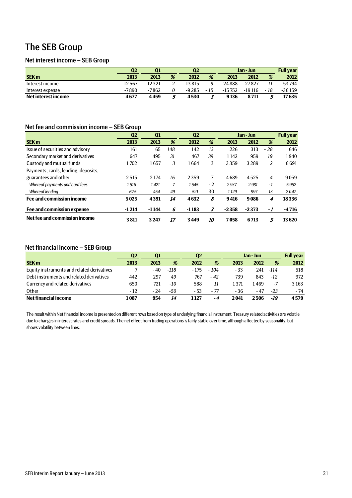# The SEB Group

### Net interest income – SEB Group

|                     | Q2    | Q1    |    | Q <sub>2</sub> |      | Jan - Jun |          | <b>Full year</b> |          |
|---------------------|-------|-------|----|----------------|------|-----------|----------|------------------|----------|
| <b>SEK m</b>        | 2013  | 2013  | %  | 2012           | %    | 2013      | 2012     | %                | 2012     |
| Interest income     | 12567 | 12321 |    | 13815          | - 9  | 24888     | 27827    | - 11             | 53794    |
| Interest expense    | -7890 | -7862 |    | -9 2 8 5       | - 15 | $-15752$  | $-19116$ | - 18             | $-36159$ |
| Net interest income | 4677  | 4459  | ., | 4530           |      | 9136      | 8711     |                  | 17635    |

# Net fee and commission income – SEB Group

|                                     | Q <sub>2</sub> | Q1      |     | Q <sub>2</sub> | Jan - Jun |         |         | <b>Full year</b> |         |
|-------------------------------------|----------------|---------|-----|----------------|-----------|---------|---------|------------------|---------|
| <b>SEK m</b>                        | 2013           | 2013    | %   | 2012           | %         | 2013    | 2012    | %                | 2012    |
| Issue of securities and advisory    | 161            | 65      | 148 | 142            | 13        | 226     | 313     | $-28$            | 646     |
| Secondary market and derivatives    | 647            | 495     | 31  | 467            | 39        | 1142    | 959     | 19               | 1940    |
| Custody and mutual funds            | 1702           | 1657    | 3   | 1664           | 2         | 3359    | 3 2 8 9 | 2                | 6691    |
| Payments, cards, lending, deposits, |                |         |     |                |           |         |         |                  |         |
| guarantees and other                | 2515           | 2 1 7 4 | 16  | 2359           | 7         | 4689    | 4525    | $\overline{4}$   | 9059    |
| Whereof payments and card fees      | 1516           | 1421    | 7   | 1545           | $-2$      | 2937    | 2981    | $-1$             | 5952    |
| <b>Whereof lending</b>              | 675            | 454     | 49  | 521            | 30        | 1129    | 997     | 13               | 2047    |
| Fee and commission income           | 5025           | 4391    | 14  | 4632           | 8         | 9416    | 9086    | 4                | 18336   |
| Fee and commission expense          | $-1214$        | $-1144$ | 6   | $-1183$        | 3         | $-2358$ | $-2373$ | -1               | $-4716$ |
| Net fee and commission income       | 3811           | 3 2 4 7 | 17  | 3449           | 10        | 7058    | 6713    | 5                | 13620   |

### Net financial income – SEB Group

|                                            | Q2    | Q1   |        | Q2     |       | Jan - Jun |       |       | <b>Full year</b> |
|--------------------------------------------|-------|------|--------|--------|-------|-----------|-------|-------|------------------|
| <b>SEK m</b>                               | 2013  | 2013 | %      | 2012   | %     | 2013      | 2012  | %     | 2012             |
| Equity instruments and related derivatives |       | - 40 | $-118$ | $-175$ | - 104 | - 33      | 241   | -114  | 518              |
| Debt instruments and related derivatives   | 442   | 297  | 49     | 767    | - 42  | 739       | 843   | -12   | 972              |
| Currency and related derivatives           | 650   | 721  | -10    | 588    |       | 1371      | l 469 | -7    | 3 1 6 3          |
| Other                                      | $-12$ | - 24 | -50    | - 53   | - 77  | - 36      | - 47  | $-23$ | $-74$            |
| Net financial income                       | 1 087 | 954  | 14     | l 127  | - 4   | 2041      | 2506  | -19   | 4579             |

The result within Net financial income is presented on different rows based on type of underlying financial instrument. Treasury related activities are volatile due to changes in interest rates and credit spreads. The net effect from trading operations is fairly stable over time, although affected by seasonality, but shows volatility between lines.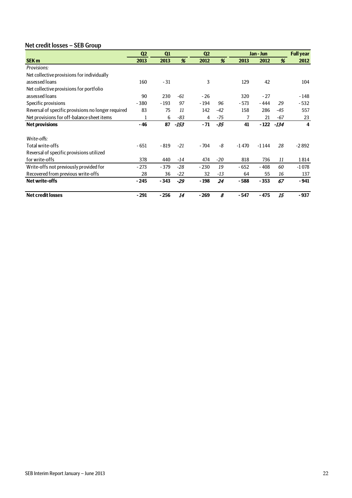# Net credit losses – SEB Group

|                                                    | Q <sub>2</sub> | Q1     |        | Q <sub>2</sub> |       |         | Jan - Jun |        | <b>Full year</b>        |
|----------------------------------------------------|----------------|--------|--------|----------------|-------|---------|-----------|--------|-------------------------|
| <b>SEK m</b>                                       | 2013           | 2013   | %      | 2012           | %     | 2013    | 2012      | %      | 2012                    |
| Provisions:                                        |                |        |        |                |       |         |           |        |                         |
| Net collective provisions for individually         |                |        |        |                |       |         |           |        |                         |
| assessed loans                                     | 160            | $-31$  |        | 3              |       | 129     | 42        |        | 104                     |
| Net collective provisions for portfolio            |                |        |        |                |       |         |           |        |                         |
| assessed loans                                     | 90             | 230    | -61    | $-26$          |       | 320     | $-27$     |        | $-148$                  |
| Specific provisions                                | $-380$         | $-193$ | 97     | - 194          | 96    | $-573$  | - 444     | 29     | $-532$                  |
| Reversal of specific provisions no longer required | 83             | 75     | 11     | 142            | $-42$ | 158     | 286       | $-45$  | 557                     |
| Net provisions for off-balance sheet items         |                | 6      | -83    | 4              | -75   | 7       | 21        | $-67$  | 23                      |
| <b>Net provisions</b>                              | $-46$          | 87     | $-153$ | $-71$          | $-35$ | 41      | - 122     | $-134$ | $\overline{\mathbf{4}}$ |
|                                                    |                |        |        |                |       |         |           |        |                         |
| Write-offs:                                        |                |        |        |                |       |         |           |        |                         |
| Total write-offs                                   | - 651          | $-819$ | $-21$  | $-704$         | -8    | $-1470$ | $-1144$   | 28     | $-2892$                 |
| Reversal of specific provisions utilized           |                |        |        |                |       |         |           |        |                         |
| for write-offs                                     | 378            | 440    | -14    | 474            | $-20$ | 818     | 736       | 11     | 1814                    |
| Write-offs not previously provided for             | $-273$         | $-379$ | $-28$  | $-230$         | 19    | $-652$  | - 408     | 60     | $-1078$                 |
| Recovered from previous write-offs                 | 28             | 36     | $-22$  | 32             | $-13$ | 64      | 55        | 16     | 137                     |
| <b>Net write-offs</b>                              | $-245$         | $-343$ | $-29$  | $-198$         | 24    | $-588$  | $-353$    | 67     | $-941$                  |
| <b>Net credit losses</b>                           | $-291$         | $-256$ | 14     | $-269$         | 8     | - 547   | - 475     | 15     | $-937$                  |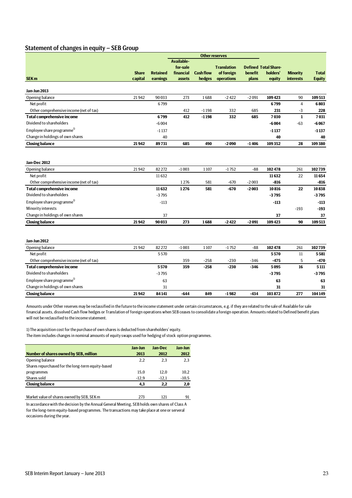### Statement of changes in equity – SEB Group

|                                         |                         | <b>Other reserves</b>       |                                               |                            |                                                |                         |                                                   |                                     |                               |
|-----------------------------------------|-------------------------|-----------------------------|-----------------------------------------------|----------------------------|------------------------------------------------|-------------------------|---------------------------------------------------|-------------------------------------|-------------------------------|
| <b>SEK m</b>                            | <b>Share</b><br>capital | <b>Retained</b><br>earnings | Available-<br>for-sale<br>financial<br>assets | <b>Cash flow</b><br>hedges | <b>Translation</b><br>of foreign<br>operations | <b>benefit</b><br>plans | <b>Defined Total Share-</b><br>holders'<br>equity | <b>Minority</b><br><b>interests</b> | <b>Total</b><br><b>Equity</b> |
| <b>Jan-Jun 2013</b>                     |                         |                             |                                               |                            |                                                |                         |                                                   |                                     |                               |
| Opening balance                         | 21942                   | 90033                       | 273                                           | 1688                       | $-2422$                                        | $-2091$                 | 109423                                            | 90                                  | 109513                        |
| Net profit                              |                         | 6799                        |                                               |                            |                                                |                         | 6799                                              | $\overline{4}$                      | 6803                          |
| Other comprehensive income (net of tax) |                         |                             | 412                                           | $-1198$                    | 332                                            | 685                     | 231                                               | $-3$                                | 228                           |
| <b>Total comprehensive income</b>       |                         | 6799                        | 412                                           | $-1198$                    | 332                                            | 685                     | 7030                                              | $\mathbf{1}$                        | 7031                          |
| Dividend to shareholders                |                         | $-6004$                     |                                               |                            |                                                |                         | -6004                                             | $-63$                               | -6 067                        |
| Employee share programme <sup>1)</sup>  |                         | $-1137$                     |                                               |                            |                                                |                         | $-1137$                                           |                                     | $-1137$                       |
| Change in holdings of own shares        |                         | 40                          |                                               |                            |                                                |                         | 40                                                |                                     | 40                            |
| <b>Closing balance</b>                  | 21942                   | 89731                       | 685                                           | 490                        | $-2090$                                        | $-1406$                 | 109352                                            | 28                                  | 109380                        |
| <b>Jan-Dec 2012</b>                     |                         |                             |                                               |                            |                                                |                         |                                                   |                                     |                               |
| Opening balance                         | 21942                   | 82 272                      | $-1003$                                       | 1107                       | $-1752$                                        | $-88$                   | 102478                                            | 261                                 | 102739                        |
| Net profit                              |                         | 11632                       |                                               |                            |                                                |                         | 11632                                             | 22                                  | 11654                         |
| Other comprehensive income (net of tax) |                         |                             | 1276                                          | 581                        | $-670$                                         | $-2003$                 | $-816$                                            |                                     | -816                          |
| <b>Total comprehensive income</b>       |                         | 11632                       | 1276                                          | 581                        | $-670$                                         | $-2003$                 | 10816                                             | 22                                  | 10838                         |
| Dividend to shareholders                |                         | $-3795$                     |                                               |                            |                                                |                         | $-3795$                                           |                                     | $-3795$                       |
| Employee share programme <sup>1)</sup>  |                         | $-113$                      |                                               |                            |                                                |                         | $-113$                                            |                                     | $-113$                        |
| Minority interests                      |                         |                             |                                               |                            |                                                |                         |                                                   | $-193$                              | $-193$                        |
| Change in holdings of own shares        |                         | 37                          |                                               |                            |                                                |                         | 37                                                |                                     | 37                            |
| <b>Closing balance</b>                  | 21942                   | 90033                       | 273                                           | 1688                       | $-2422$                                        | $-2091$                 | 109423                                            | 90                                  | 109513                        |
| <b>Jan-Jun 2012</b>                     |                         |                             |                                               |                            |                                                |                         |                                                   |                                     |                               |
| Opening balance                         | 21942                   | 82 272                      | $-1003$                                       | 1107                       | $-1752$                                        | -88                     | 102478                                            | 261                                 | 102739                        |
| Net profit                              |                         | 5570                        |                                               |                            |                                                |                         | 5570                                              | 11                                  | 5581                          |
| Other comprehensive income (net of tax) |                         |                             | 359                                           | $-258$                     | $-230$                                         | $-346$                  | $-475$                                            | 5                                   | -470                          |
| <b>Total comprehensive income</b>       |                         | 5570                        | 359                                           | $-258$                     | $-230$                                         | $-346$                  | 5095                                              | 16                                  | 5111                          |
| Dividend to shareholders                |                         | $-3795$                     |                                               |                            |                                                |                         | $-3795$                                           |                                     | -3795                         |
| Employee share programme <sup>1)</sup>  |                         | 63                          |                                               |                            |                                                |                         | 63                                                |                                     | 63                            |
| Change in holdings of own shares        |                         | 31                          |                                               |                            |                                                |                         | 31                                                |                                     | 31                            |
| <b>Closing balance</b>                  | 21942                   | 84 141                      | $-644$                                        | 849                        | $-1982$                                        | -434                    | 103872                                            | 277                                 | 104149                        |

Amounts under Other reserves may be reclassified in the future to the income statement under certain circumstances, e.g. if they are related to the sale of Available for sale financial assets, dissolved Cash flow hedges or Translation of foreign operations when SEB ceases to consolidate a foreign operation. Amounts related to Defined benefit plans will not be reclassified to the income statement.

1) The acquisition cost for the purchase of own shares is deducted from shareholders' equity.

The item includes changes in nominal amounts of equity swaps used for hedging of stock option programmes.

|                                                   | Jan-Jun | Jan-Dec | Jan-Jun |
|---------------------------------------------------|---------|---------|---------|
| Number of shares owned by SEB, million            | 2013    | 2012    | 2012    |
| Opening balance                                   | 2.2     | 2.3     | 2.3     |
| Shares repurchased for the long-term equity-based |         |         |         |
| programmes                                        | 15.0    | 12.0    | 10,2    |
| Shares sold                                       | $-12.9$ | $-12.1$ | $-10,5$ |
| <b>Closing balance</b>                            | 4,3     | 2.2     | 2,0     |
|                                                   |         |         |         |

Market value of shares owned by SEB, SEK m 273 121 91

In accordance with the decision by the Annual General Meeting, SEB holds own shares of Class A for the long-term equity-based programmes. The transactions may take place at one or serveral occasions during the year.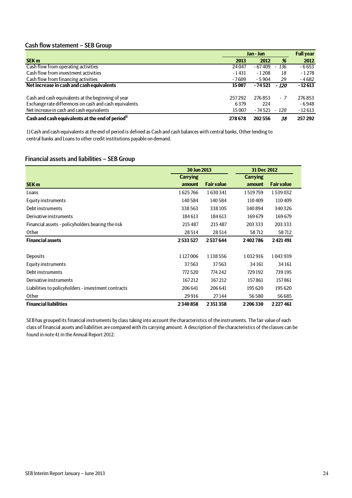### Cash flow statement – SEB Group

|                                                              | Jan - Jun | <b>Full year</b> |        |          |
|--------------------------------------------------------------|-----------|------------------|--------|----------|
| <b>SEK m</b>                                                 | 2013      | 2012             | %      | 2012     |
| Cash flow from operating activities                          | 24047     | $-67409$         | 136    | $-6653$  |
| Cash flow from investment activities                         | $-1431$   | $-1208$          | 18     | $-1278$  |
| Cash flow from financing activities                          | $-7609$   | $-5904$          | 29     | $-4682$  |
| Net increase in cash and cash equivalents                    | 15 007    | - 74 521         | - 120  | $-12613$ |
| Cash and cash equivalents at the beginning of year           | 257292    | 276853           | - 7    | 276853   |
| Exchange rate differences on cash and cash equivalents       | 6379      | 224              |        | $-6948$  |
| Net increase in cash and cash equivalents                    | 15 007    | - 74 521         | $-120$ | $-12613$ |
| Cash and cash equivalents at the end of period <sup>1)</sup> | 278678    | 202556           | 38     | 257 292  |

1) Cash and cash equivalents at the end of period is defined as Cash and cash balances with central banks, Other lending to central banks and Loans to other credit institutions payable on demand.

### Financial assets and liabilities – SEB Group

|                                                     | 30 Jun 2013     |                   | 31 Dec 2012     |                   |
|-----------------------------------------------------|-----------------|-------------------|-----------------|-------------------|
|                                                     | <b>Carrying</b> |                   | <b>Carrying</b> |                   |
| <b>SEK m</b>                                        | amount          | <b>Fair value</b> | amount          | <b>Fair value</b> |
| Loans                                               | 1625766         | 1630341           | 1519759         | 1539032           |
| Equity instruments                                  | 140584          | 140584            | 110409          | 110409            |
| Debt instruments                                    | 338563          | 338105            | 340894          | 340326            |
| Derivative instruments                              | 184613          | 184613            | 169679          | 169679            |
| Financial assets - policyholders bearing the risk   | 215487          | 215 487           | 203 333         | 203 333           |
| Other                                               | 28514           | 28514             | 58712           | 58712             |
| <b>Financial assets</b>                             | 2533527         | 2537644           | 2402786         | 2421491           |
|                                                     |                 |                   |                 |                   |
| Deposits                                            | 1127006         | 1138556           | 1032916         | 1043939           |
| Equity instruments                                  | 37563           | 37563             | 34161           | 34161             |
| Debt instruments                                    | 772520          | 774 242           | 729 192         | 739195            |
| Derivative instruments                              | 167212          | 167212            | 157861          | 157861            |
| Liabilities to policyholders - investment contracts | 206 641         | 206 641           | 195 620         | 195 620           |
| Other                                               | 29916           | 27144             | 56580           | 56685             |
| <b>Financial liabilities</b>                        | 2340858         | 2351358           | 2206330         | 2227461           |

SEB has grouped its financial instruments by class taking into account the characteristics of the instruments. The fair value of each class of financial assets and liabilities are compared with its carrying amount. A description of the characteristics of the classes can be found in note 41 in the Annual Report 2012.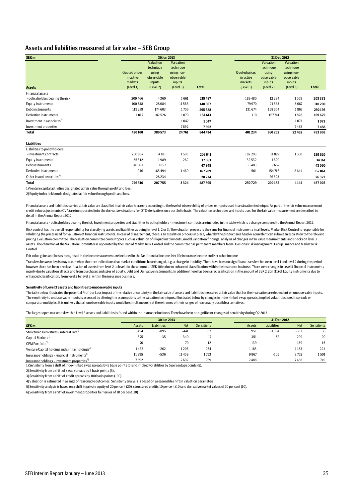### Assets and liabilities measured at fair value – SEB Group

| SEK <sub>m</sub>                       |                                                           | 30 Jun 2013                                |                                                 |              |                                                           | 31 Dec 2012                                |                                                 |              |  |
|----------------------------------------|-----------------------------------------------------------|--------------------------------------------|-------------------------------------------------|--------------|-----------------------------------------------------------|--------------------------------------------|-------------------------------------------------|--------------|--|
|                                        |                                                           | Valuation<br>technique                     | Valuation<br>technique                          |              |                                                           | Valuation<br>technique                     | Valuation<br>technique                          |              |  |
| <b>Assets</b>                          | <b>Quoted prices</b><br>in active<br>markets<br>(Level 1) | using<br>observable<br>inputs<br>(Level 2) | using non-<br>observable<br>inputs<br>(Level 3) | <b>Total</b> | <b>Quoted prices</b><br>in active<br>markets<br>(Level 1) | using<br>observable<br>inputs<br>(Level 2) | using non-<br>observable<br>inputs<br>(Level 3) | <b>Total</b> |  |
| <b>Financial assets</b>                |                                                           |                                            |                                                 |              |                                                           |                                            |                                                 |              |  |
| - policyholders bearing the risk       | 209 466                                                   | 4360                                       | 1661                                            | 215487       | 189480                                                    | 12 2 9 4                                   | 1559                                            | 203 333      |  |
| <b>Equity instruments</b>              | 100 338                                                   | 28084                                      | 11585                                           | 140 007      | 79 9 70                                                   | 21563                                      | 8667                                            | 110 200      |  |
| Debt instruments                       | 119 279                                                   | 174 603                                    | 1706                                            | 295588       | 131674                                                    | 158 654                                    | 1867                                            | 292195       |  |
| Derivative instruments                 | 1017                                                      | 182526                                     | 1070                                            | 184613       | 110                                                       | 167741                                     | 1828                                            | 169679       |  |
| Investment in associates <sup>1)</sup> |                                                           |                                            | 1047                                            | 1047         |                                                           |                                            | 1073                                            | 1073         |  |
| Investment properties                  |                                                           |                                            | 7692                                            | 7692         |                                                           |                                            | 7488                                            | 7488         |  |
| <b>Total</b>                           | 430100                                                    | 389573                                     | 24761                                           | 844 434      | 401234                                                    | 360 252                                    | 22482                                           | 783968       |  |
| <b>Liabilities</b>                     |                                                           |                                            |                                                 |              |                                                           |                                            |                                                 |              |  |
| Liabilities to policyholders           |                                                           |                                            |                                                 |              |                                                           |                                            |                                                 |              |  |
| - investment contracts                 | 200867                                                    | 4 1 8 1                                    | 1593                                            | 206 641      | 182 293                                                   | 11827                                      | 1500                                            | 195620       |  |
| <b>Equity instruments</b>              | 35312                                                     | 1989                                       | 262                                             | 37563        | 32532                                                     | 1629                                       |                                                 | 34161        |  |
| Debt instruments                       | 40091                                                     | 7857                                       |                                                 | 47948        | 35403                                                     | 7657                                       |                                                 | 43 060       |  |
| Derivative instruments                 | 246                                                       | 165494                                     | 1469                                            | 167209       | 501                                                       | 154716                                     | 2644                                            | 157861       |  |
| Other issued securities <sup>2)</sup>  |                                                           | 28234                                      |                                                 | 28234        |                                                           | 26323                                      |                                                 | 26323        |  |
| <b>Total</b>                           | 276516                                                    | 207755                                     | 3324                                            | 487595       | 250729                                                    | 202152                                     | 4144                                            | 457025       |  |

1) Venture capital activities designated at fair value through profit and loss.

2) Equity index link bonds designated at fair value through profit and loss.

Financial assets and liabilities carried at fair value are classified in a fair value hierarchy according to the level of observability of prices or inputs used in a valuation technique. As part of the fair value mea credit value adjustments (CVA) are incorporated into the derivative valuations for OTC-derivatives on a portfolio basis. The valuation techniques and inputs used for the fair value measurement are described in detail in the Annual Report 2012.

Financial assets - policyholders bearing the risk, Investment properties and Liabilities to policyholders - investment contracts are included in the table which is a change compared to the Annual Report 2012.

Risk control has the overall responsibility for classifying assets and liabilities as being in level 1, 2 or 3. The valuation process is the same for financial instruments in all levels. Market Risk Control is responsible validating the prices used for valuation of financial instruments. In case of disagreement, there is an escalation process in place, whereby the product area head or equivalent can submit an escalation to the relevant pricing / valuation committee. The Valuation committee covers topics such as valuation of illiquid instruments, model validation findings, analysis of changes in fair value measurements and shocks on level 3 assets. The chairman of the Valuation Committee is appointed by the Head of Market Risk Control and the committee has permanent members from Divisional risk management, Group Finance and Market Risk Control.

Fair value gains and losses recognised in the income statement are included in the Net financial income, Net life insurance income and Net other income.

Transfers between levels may occur when there are indications that market conditions have changed, e.g. a change in liquidity. There have been no significant transfers between level 1 and level 2 during the period however there has been a reclassification of assets from level 2 to level 1 in the amount of SEK 10bn due to enhanced classification within the insurance business. There were changes in Level 3 financial instruments mainly due to valuation effects and from purchases and sales of Fquity. Debt and Derivative instruments. In addition there has been a reclassification in the amount of SFK 2.2bn (11) of Fquity instruments due to enhanced classification, from level 2 to level 3, within the insurance business.

#### **Sensitivity of Level 3 assets and liabilities to unobservable inputs**

The table below illustrates the potential Profit or Loss impact of the relative uncertainty in the fair value of assets and liabilities measured at fair value that for their valuation are dependent on unobservable inputs. The sensitivity to unobservable inputs is assessed by altering the assumptions to the valuation techniques, illustrated below by changes in index-linked swap spreads, implied volatilities, credit spreads or comparator multiples. It is unlikely that all unobservable inputs would be simultaneously at the extremes of their ranges of reasonably possible alternatives.

The largest open market risk within Level 3 assets and liabilities is found within the insurance business.There have been no significant changes of sensitivity during Q2 2013.

|                                                                                                                                     |        | 30 Jun 2013        |            |             |        | 31 Dec 2012 |            |             |
|-------------------------------------------------------------------------------------------------------------------------------------|--------|--------------------|------------|-------------|--------|-------------|------------|-------------|
| SEK <sub>m</sub>                                                                                                                    | Assets | <b>Liabilities</b> | <b>Net</b> | Sensitivity | Assets | Liabilities | <b>Net</b> | Sensitivity |
| Structured Derivatives - interest rate <sup>1)</sup>                                                                                | 454    | -895               | $-441$     | 62          | 951    | $-1504$     | $-553$     | 58          |
| Capital Markets <sup>2)</sup>                                                                                                       | 375    | $-35$              | 340        |             | 351    | $-52$       | 299        | 20          |
| CPM Portfolio <sup>3)</sup>                                                                                                         | 70     |                    | 70         | 12          | 139    |             | 139        | 15          |
| Venture Capital holding and similar holdings <sup>4)</sup>                                                                          | 1467   | $-262$             | 1205       | 254         | 1183   |             | 1183       | 224         |
| Insurance holdings - Financial instruments <sup>5)</sup>                                                                            | 11995  | $-536$             | 11459      | 1753        | 9867   | $-105$      | 9762       | 1501        |
| Insurance holdings - Investment properties <sup>o</sup>                                                                             | 7692   |                    | 7692       | 769         | 7488   |             | 7488       | 749         |
| 1) Sensitivity from a shift of index-linked swap spreads by 5 basis points (5) and implied volatilities by 5 percentage points (5). |        |                    |            |             |        |             |            |             |

2) Sensitivity from a shift of swap spreads by 5 basis points (5) .

3) Sensitivity from a shift of credit spreads by 100 basis points (100).

4) Valuation is estimated in a range of reasonable outcomes. Sensitivity analysis is based on a reasonable shift in valuation parameters.

5) Sensitivity analysis is based on a shift in private equity of 20 per cent (20), structured credits 10 per cent (10) and derivative market values of 10 per cent (10).

6) Sensitivity from a shift of investment properties fair values of 10 per cent (10).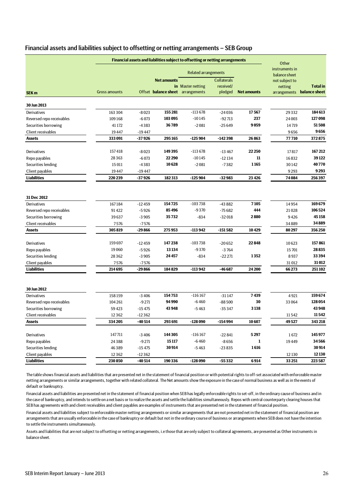| Financial assets and liabilities subject to offsetting or netting arrangements - SEB Group |  |  |
|--------------------------------------------------------------------------------------------|--|--|
|--------------------------------------------------------------------------------------------|--|--|

| Financial assets and liabilities subject to offsetting or netting arrangements |                      |          |                                                         |                             |                                            |                    |                                 |                                  |
|--------------------------------------------------------------------------------|----------------------|----------|---------------------------------------------------------|-----------------------------|--------------------------------------------|--------------------|---------------------------------|----------------------------------|
|                                                                                |                      |          |                                                         | <b>Related arrangements</b> |                                            |                    | instruments in<br>balance sheet |                                  |
|                                                                                | <b>Gross amounts</b> |          | <b>Net amounts</b><br>Offset balance sheet arrangements | in Master netting           | <b>Collaterals</b><br>received/<br>pledged | <b>Net amounts</b> | not subject to<br>netting       | <b>Total</b> in<br>balance sheet |
| SEK <sub>m</sub>                                                               |                      |          |                                                         |                             |                                            |                    | arrangements                    |                                  |
| 30 Jun 2013                                                                    |                      |          |                                                         |                             |                                            |                    |                                 |                                  |
| Derivatives                                                                    | 163 304              | $-8023$  | 155 281                                                 | $-113678$                   | $-24036$                                   | 17567              | 29332                           | 184613                           |
| Reversed repo receivables                                                      | 109168               | $-6073$  | 103 095                                                 | $-10145$                    | $-92713$                                   | 237                | 24 003                          | 127 098                          |
| Securities borrowing                                                           | 41 172               | $-4383$  | 36789                                                   | $-2081$                     | $-25649$                                   | 9059               | 14719                           | 51508                            |
| Client receivables                                                             | 19447                | $-19447$ |                                                         |                             |                                            |                    | 9656                            | 9656                             |
| <b>Assets</b>                                                                  | 333 091              | $-37926$ | 295165                                                  | $-125904$                   | $-142398$                                  | 26863              | 77710                           | 372875                           |
| Derivatives                                                                    | 157418               | $-8023$  | 149395                                                  | $-113678$                   | $-13467$                                   | 22 250             | 17817                           | 167212                           |
| Repo payables                                                                  | 28363                | $-6073$  | 22290                                                   | $-10145$                    | $-12134$                                   | 11                 | 16832                           | 39122                            |
| Securities lending                                                             | 15 0 11              | $-4383$  | 10628                                                   | $-2081$                     | $-7382$                                    | 1165               | 30142                           | 40770                            |
| Client payables                                                                | 19447                | $-19447$ |                                                         |                             |                                            |                    | 9293                            | 9293                             |
| <b>Liabilities</b>                                                             | 220 239              | $-37926$ | 182313                                                  | $-125904$                   | $-32983$                                   | 23 4 26            | 74 084                          | 256397                           |
|                                                                                |                      |          |                                                         |                             |                                            |                    |                                 |                                  |
| 31 Dec 2012                                                                    |                      |          |                                                         |                             |                                            |                    |                                 |                                  |
| Derivatives                                                                    | 167184               | $-12459$ | 154725                                                  | $-103738$                   | $-43882$                                   | 7105               | 14954                           | 169679                           |
| Reversed repo receivables                                                      | 91422                | $-5926$  | 85496                                                   | $-9370$                     | $-75682$                                   | 444                | 21028                           | 106524                           |
| Securities borrowing                                                           | 39637                | $-3905$  | 35732                                                   | $-834$                      | $-32018$                                   | 2880               | 9426                            | 45158                            |
| Client receivables                                                             | 7576                 | $-7576$  |                                                         |                             |                                            |                    | 34889                           | 34889                            |
| <b>Assets</b>                                                                  | 305819               | -29 866  | 275953                                                  | -113 942                    | $-151582$                                  | 10429              | 80297                           | 356 250                          |
| Derivatives                                                                    | 159697               | $-12459$ | 147238                                                  | $-103738$                   | $-20652$                                   | 22848              | 10623                           | 157861                           |
| Repo payables                                                                  | 19060                | $-5926$  | 13134                                                   | $-9370$                     | $-3764$                                    |                    | 15701                           | 28835                            |
| Securities lending                                                             | 28362                | $-3905$  | 24457                                                   | $-834$                      | $-22221$                                   | 1352               | 8937                            | 33394                            |
| Client payables                                                                | 7576                 | $-7576$  |                                                         |                             |                                            |                    | 31012                           | 31012                            |
| <b>Liabilities</b>                                                             | 214695               | -29 866  | 184829                                                  | -113 942                    | $-46687$                                   | 24 200             | 66273                           | 251102                           |
|                                                                                |                      |          |                                                         |                             |                                            |                    |                                 |                                  |
| 30 Jun 2012                                                                    |                      |          |                                                         |                             |                                            |                    |                                 |                                  |
| Derivatives                                                                    | 158159               | $-3406$  | 154753                                                  | $-116167$                   | $-31147$                                   | 7439               | 4921                            | 159674                           |
| Reversed repo receivables                                                      | 104 261              | $-9271$  | 94990                                                   | $-6460$                     | $-88500$                                   | 30                 | 33 064                          | 128 054                          |
| Securities borrowing                                                           | 59423                | $-15475$ | 43948                                                   | $-5463$                     | $-35347$                                   | 3138               |                                 | 43 948                           |
| Client receivables                                                             | 12362                | $-12362$ |                                                         |                             |                                            |                    | 11542                           | 11542                            |
| <b>Assets</b>                                                                  | 334 205              | $-40514$ | 293691                                                  | $-128090$                   | -154 994                                   | 10607              | 49527                           | 343 218                          |
| Derivatives                                                                    | 147711               | $-3406$  | 144 30 5                                                | $-116167$                   | $-22841$                                   | 5297               | 1672                            | 145977                           |
| Repo payables                                                                  | 24388                | $-9271$  | 15117                                                   | $-6460$                     | $-8656$                                    | 1                  | 19449                           | 34566                            |
| Securities lending                                                             | 46389                | $-15475$ | 30914                                                   | $-5463$                     | $-23835$                                   | 1616               |                                 | 30914                            |
| Client payables                                                                | 12362                | $-12362$ |                                                         |                             |                                            |                    | 12 130                          | 12130                            |
| <b>Liabilities</b>                                                             | 230 850              | $-40514$ | 190336                                                  | $-128090$                   | $-55332$                                   | 6914               | 33 251                          | 223 587                          |
|                                                                                |                      |          |                                                         |                             |                                            |                    |                                 |                                  |

The table shows financial assets and liabilities that are presented net in the statement of financial position or with potential rights to off-set associated with enforceable master netting arrangements or similar arrangements, together with related collateral. The Net amounts show the exposure in the case of normal business as well as in the events of default or bankruptcy.

Financial assets and liabilities are presented net in the statement of financial position when SEB has legally enforceable rights to set-off, in the ordinary cause of business and in the case of bankruptcy, and intends to settle on a net basis or to realize the assets and settle the liabilities simultaneously. Repos with central counterparty clearing houses that SEB has agreements with and client receivables and client payables are examples of instruments that are presented net in the statement of financial position.

Financial assets and liabilities subject to enforceable master netting arrangements or similar arrangements that are not presented net in the statement of financial position are arrangements that are usually enforceable in the case of bankruptcy or default but not in the ordinary course of business or arrangements where SEB does not have the intention to settle the instruments simultaneously.

Assets and liabilities that are not subject to offsetting or netting arrangements, i.e those that are only subject to collateral agreements, are presented as Other instruments in balance sheet.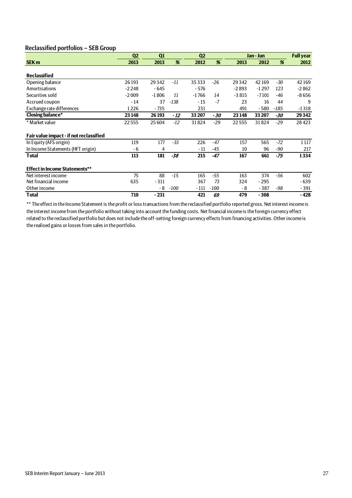### Reclassified portfolios – SEB Group

|                                         | Q <sub>2</sub> | Q1      |        | Q <sub>2</sub> |        | Jan - Jun |         | <b>Full year</b> |         |
|-----------------------------------------|----------------|---------|--------|----------------|--------|-----------|---------|------------------|---------|
| <b>SEK m</b>                            | 2013           | 2013    | %      | 2012           | %      | 2013      | 2012    | %                | 2012    |
|                                         |                |         |        |                |        |           |         |                  |         |
| <b>Reclassified</b>                     |                |         |        |                |        |           |         |                  |         |
| Opening balance                         | 26 193         | 29342   | -11    | 35333          | $-26$  | 29342     | 42169   | -30              | 42169   |
| Amortisations                           | $-2248$        | - 645   |        | $-576$         |        | $-2893$   | $-1297$ | 123              | $-2862$ |
| Securities sold                         | $-2009$        | $-1806$ | 11     | $-1766$        | 14     | $-3815$   | $-7101$ | $-46$            | $-8656$ |
| Accrued coupon                          | $-14$          | 37      | $-138$ | $-15$          | $-7$   | 23        | 16      | 44               | 9       |
| Exchange rate differences               | 1226           | - 735   |        | 231            |        | 491       | $-580$  | -185             | $-1318$ |
| <b>Closing balance*</b>                 | 23 148         | 26 193  | - 12   | 33 207         | - 30   | 23 148    | 33 207  | -30              | 29342   |
| * Market value                          | 22555          | 25604   | $-12$  | 31824          | $-29$  | 22555     | 31824   | $-29$            | 28423   |
| Fair value impact - if not reclassified |                |         |        |                |        |           |         |                  |         |
| In Equity (AFS origin)                  | 119            | 177     | $-33$  | 226            | $-47$  | 157       | 565     | $-72$            | 1 1 1 7 |
| In Income Statements (HFT origin)       | - 6            | 4       |        | $-11$          | $-45$  | 10        | 96      | $-90$            | 217     |
| <b>Total</b>                            | 113            | 181     | $-38$  | 215            | $-47$  | 167       | 661     | $-75$            | 1334    |
| <b>Effect in Income Statements**</b>    |                |         |        |                |        |           |         |                  |         |
| Net interest income                     | 75             | 88      | $-15$  | 165            | -55    | 163       | 374     | $-56$            | 602     |
| Net financial income                    | 635            | $-311$  |        | 367            | 73     | 324       | $-295$  |                  | $-639$  |
| Other income                            |                | - 8     | $-100$ | $-111$         | $-100$ | - 8       | $-387$  | -98              | - 391   |
| Total                                   | 710            | $-231$  |        | 421            | 69     | 479       | $-308$  |                  | - 428   |

\*\* The effect in the Income Statement is the profit or loss transactions from the reclassified portfolio reported gross. Net interest income is the interest income from the portfolio without taking into account the funding costs. Net financial income is the foreign currency effect related to the reclassified portfolio but does not include the off-setting foreign currency effects from financing activities. Other income is the realised gains or losses from sales in the portfolio.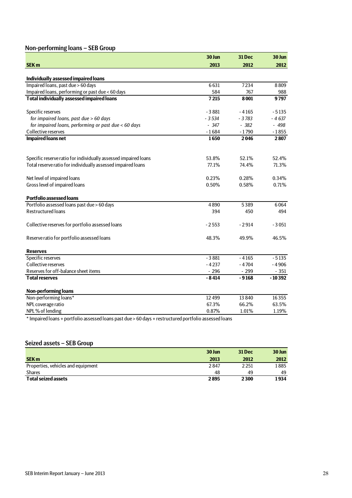# Non-performing loans – SEB Group

| 2013<br>2012<br>2012<br>Individually assessed impaired loans<br>Impaired loans, past due > 60 days<br>6631<br>7234<br>8809<br>Impaired loans, performing or past due < 60 days<br>584<br>767<br>988<br><b>Total individually assessed impaired loans</b><br>7215<br>8001<br>9797<br>Specific reserves<br>$-3881$<br>$-4165$<br>$-5135$<br>for impaired loans, past due > 60 days<br>$-3534$<br>$-3783$<br>$-4637$<br>for impaired loans, performing or past due < 60 days<br>$-347$<br>$-382$<br>$-498$<br>Collective reserves<br>$-1684$<br>$-1790$<br>$-1855$<br><b>Impaired loans net</b><br>1650<br>2046<br>2807<br>Specific reserve ratio for individually assessed impaired loans<br>53.8%<br>52.1%<br>52.4%<br>Total reserve ratio for individually assessed impaired loans<br>77.1%<br>74.4%<br>71.3%<br>Net level of impaired loans<br>0.23%<br>0.28%<br>0.34%<br>Gross level of impaired loans<br>0.50%<br>0.58%<br>0.71%<br><b>Portfolio assessed loans</b><br>Portfolio assessed loans past due > 60 days<br>4890<br>5389<br>6064<br><b>Restructured loans</b><br>394<br>450<br>494<br>Collective reserves for portfolio assessed loans<br>$-2553$<br>$-2914$<br>$-3051$<br>Reserve ratio for portfolio assessed loans<br>48.3%<br>49.9%<br>46.5%<br><b>Reserves</b><br>Specific reserves<br>$-5135$<br>$-3881$<br>$-4165$<br>Collective reserves<br>$-4237$<br>$-4704$<br>$-4906$<br>Reserves for off-balance sheet items<br>$-296$<br>$-299$<br>$-351$<br>$-10392$<br><b>Total reserves</b><br>$-8414$<br>$-9168$<br>Non-performing loans<br>Non-performing loans*<br>13 8 40<br>16355<br>12499<br>NPL coverage ratio<br>67.3%<br>66.2%<br>63.5%<br>NPL% of lending<br>0.87%<br>1.01%<br>1.19% |              | 30 Jun | 31 Dec | 30 Jun |
|--------------------------------------------------------------------------------------------------------------------------------------------------------------------------------------------------------------------------------------------------------------------------------------------------------------------------------------------------------------------------------------------------------------------------------------------------------------------------------------------------------------------------------------------------------------------------------------------------------------------------------------------------------------------------------------------------------------------------------------------------------------------------------------------------------------------------------------------------------------------------------------------------------------------------------------------------------------------------------------------------------------------------------------------------------------------------------------------------------------------------------------------------------------------------------------------------------------------------------------------------------------------------------------------------------------------------------------------------------------------------------------------------------------------------------------------------------------------------------------------------------------------------------------------------------------------------------------------------------------------------------------------------------------------------------------------------------------|--------------|--------|--------|--------|
|                                                                                                                                                                                                                                                                                                                                                                                                                                                                                                                                                                                                                                                                                                                                                                                                                                                                                                                                                                                                                                                                                                                                                                                                                                                                                                                                                                                                                                                                                                                                                                                                                                                                                                              | <b>SEK m</b> |        |        |        |
|                                                                                                                                                                                                                                                                                                                                                                                                                                                                                                                                                                                                                                                                                                                                                                                                                                                                                                                                                                                                                                                                                                                                                                                                                                                                                                                                                                                                                                                                                                                                                                                                                                                                                                              |              |        |        |        |
|                                                                                                                                                                                                                                                                                                                                                                                                                                                                                                                                                                                                                                                                                                                                                                                                                                                                                                                                                                                                                                                                                                                                                                                                                                                                                                                                                                                                                                                                                                                                                                                                                                                                                                              |              |        |        |        |
|                                                                                                                                                                                                                                                                                                                                                                                                                                                                                                                                                                                                                                                                                                                                                                                                                                                                                                                                                                                                                                                                                                                                                                                                                                                                                                                                                                                                                                                                                                                                                                                                                                                                                                              |              |        |        |        |
|                                                                                                                                                                                                                                                                                                                                                                                                                                                                                                                                                                                                                                                                                                                                                                                                                                                                                                                                                                                                                                                                                                                                                                                                                                                                                                                                                                                                                                                                                                                                                                                                                                                                                                              |              |        |        |        |
|                                                                                                                                                                                                                                                                                                                                                                                                                                                                                                                                                                                                                                                                                                                                                                                                                                                                                                                                                                                                                                                                                                                                                                                                                                                                                                                                                                                                                                                                                                                                                                                                                                                                                                              |              |        |        |        |
|                                                                                                                                                                                                                                                                                                                                                                                                                                                                                                                                                                                                                                                                                                                                                                                                                                                                                                                                                                                                                                                                                                                                                                                                                                                                                                                                                                                                                                                                                                                                                                                                                                                                                                              |              |        |        |        |
|                                                                                                                                                                                                                                                                                                                                                                                                                                                                                                                                                                                                                                                                                                                                                                                                                                                                                                                                                                                                                                                                                                                                                                                                                                                                                                                                                                                                                                                                                                                                                                                                                                                                                                              |              |        |        |        |
|                                                                                                                                                                                                                                                                                                                                                                                                                                                                                                                                                                                                                                                                                                                                                                                                                                                                                                                                                                                                                                                                                                                                                                                                                                                                                                                                                                                                                                                                                                                                                                                                                                                                                                              |              |        |        |        |
|                                                                                                                                                                                                                                                                                                                                                                                                                                                                                                                                                                                                                                                                                                                                                                                                                                                                                                                                                                                                                                                                                                                                                                                                                                                                                                                                                                                                                                                                                                                                                                                                                                                                                                              |              |        |        |        |
|                                                                                                                                                                                                                                                                                                                                                                                                                                                                                                                                                                                                                                                                                                                                                                                                                                                                                                                                                                                                                                                                                                                                                                                                                                                                                                                                                                                                                                                                                                                                                                                                                                                                                                              |              |        |        |        |
|                                                                                                                                                                                                                                                                                                                                                                                                                                                                                                                                                                                                                                                                                                                                                                                                                                                                                                                                                                                                                                                                                                                                                                                                                                                                                                                                                                                                                                                                                                                                                                                                                                                                                                              |              |        |        |        |
|                                                                                                                                                                                                                                                                                                                                                                                                                                                                                                                                                                                                                                                                                                                                                                                                                                                                                                                                                                                                                                                                                                                                                                                                                                                                                                                                                                                                                                                                                                                                                                                                                                                                                                              |              |        |        |        |
|                                                                                                                                                                                                                                                                                                                                                                                                                                                                                                                                                                                                                                                                                                                                                                                                                                                                                                                                                                                                                                                                                                                                                                                                                                                                                                                                                                                                                                                                                                                                                                                                                                                                                                              |              |        |        |        |
|                                                                                                                                                                                                                                                                                                                                                                                                                                                                                                                                                                                                                                                                                                                                                                                                                                                                                                                                                                                                                                                                                                                                                                                                                                                                                                                                                                                                                                                                                                                                                                                                                                                                                                              |              |        |        |        |
|                                                                                                                                                                                                                                                                                                                                                                                                                                                                                                                                                                                                                                                                                                                                                                                                                                                                                                                                                                                                                                                                                                                                                                                                                                                                                                                                                                                                                                                                                                                                                                                                                                                                                                              |              |        |        |        |
|                                                                                                                                                                                                                                                                                                                                                                                                                                                                                                                                                                                                                                                                                                                                                                                                                                                                                                                                                                                                                                                                                                                                                                                                                                                                                                                                                                                                                                                                                                                                                                                                                                                                                                              |              |        |        |        |
|                                                                                                                                                                                                                                                                                                                                                                                                                                                                                                                                                                                                                                                                                                                                                                                                                                                                                                                                                                                                                                                                                                                                                                                                                                                                                                                                                                                                                                                                                                                                                                                                                                                                                                              |              |        |        |        |
|                                                                                                                                                                                                                                                                                                                                                                                                                                                                                                                                                                                                                                                                                                                                                                                                                                                                                                                                                                                                                                                                                                                                                                                                                                                                                                                                                                                                                                                                                                                                                                                                                                                                                                              |              |        |        |        |
|                                                                                                                                                                                                                                                                                                                                                                                                                                                                                                                                                                                                                                                                                                                                                                                                                                                                                                                                                                                                                                                                                                                                                                                                                                                                                                                                                                                                                                                                                                                                                                                                                                                                                                              |              |        |        |        |
|                                                                                                                                                                                                                                                                                                                                                                                                                                                                                                                                                                                                                                                                                                                                                                                                                                                                                                                                                                                                                                                                                                                                                                                                                                                                                                                                                                                                                                                                                                                                                                                                                                                                                                              |              |        |        |        |
|                                                                                                                                                                                                                                                                                                                                                                                                                                                                                                                                                                                                                                                                                                                                                                                                                                                                                                                                                                                                                                                                                                                                                                                                                                                                                                                                                                                                                                                                                                                                                                                                                                                                                                              |              |        |        |        |
|                                                                                                                                                                                                                                                                                                                                                                                                                                                                                                                                                                                                                                                                                                                                                                                                                                                                                                                                                                                                                                                                                                                                                                                                                                                                                                                                                                                                                                                                                                                                                                                                                                                                                                              |              |        |        |        |
|                                                                                                                                                                                                                                                                                                                                                                                                                                                                                                                                                                                                                                                                                                                                                                                                                                                                                                                                                                                                                                                                                                                                                                                                                                                                                                                                                                                                                                                                                                                                                                                                                                                                                                              |              |        |        |        |
|                                                                                                                                                                                                                                                                                                                                                                                                                                                                                                                                                                                                                                                                                                                                                                                                                                                                                                                                                                                                                                                                                                                                                                                                                                                                                                                                                                                                                                                                                                                                                                                                                                                                                                              |              |        |        |        |
|                                                                                                                                                                                                                                                                                                                                                                                                                                                                                                                                                                                                                                                                                                                                                                                                                                                                                                                                                                                                                                                                                                                                                                                                                                                                                                                                                                                                                                                                                                                                                                                                                                                                                                              |              |        |        |        |
|                                                                                                                                                                                                                                                                                                                                                                                                                                                                                                                                                                                                                                                                                                                                                                                                                                                                                                                                                                                                                                                                                                                                                                                                                                                                                                                                                                                                                                                                                                                                                                                                                                                                                                              |              |        |        |        |
|                                                                                                                                                                                                                                                                                                                                                                                                                                                                                                                                                                                                                                                                                                                                                                                                                                                                                                                                                                                                                                                                                                                                                                                                                                                                                                                                                                                                                                                                                                                                                                                                                                                                                                              |              |        |        |        |
|                                                                                                                                                                                                                                                                                                                                                                                                                                                                                                                                                                                                                                                                                                                                                                                                                                                                                                                                                                                                                                                                                                                                                                                                                                                                                                                                                                                                                                                                                                                                                                                                                                                                                                              |              |        |        |        |
|                                                                                                                                                                                                                                                                                                                                                                                                                                                                                                                                                                                                                                                                                                                                                                                                                                                                                                                                                                                                                                                                                                                                                                                                                                                                                                                                                                                                                                                                                                                                                                                                                                                                                                              |              |        |        |        |

\* Impaired loans + portfolio assessed loans past due > 60 days + restructured portfolio assessed loans

# Seized assets – SEB Group

|                                    | 30 Jun | <b>31 Dec</b> | 30 Jun |
|------------------------------------|--------|---------------|--------|
| <b>SEK m</b>                       | 2013   | 2012          | 2012   |
| Properties, vehicles and equipment | 2847   | 2 2 5 1       | 1885   |
| <b>Shares</b>                      | 48     | 49            | 49     |
| <b>Total seized assets</b>         | 2895   | 2300          | 1934   |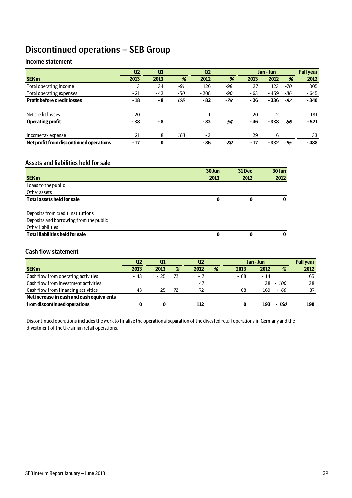# Discontinued operations – SEB Group

### Income statement

|                                         | Q <sub>2</sub> | Q1       |     | Q <sub>2</sub> |     |       | Jan - Jun |     | <b>Full year</b> |
|-----------------------------------------|----------------|----------|-----|----------------|-----|-------|-----------|-----|------------------|
| <b>SEK m</b>                            | 2013           | 2013     | %   | 2012           | %   | 2013  | 2012      | %   | 2012             |
| Total operating income                  | 3              | 34       | -91 | 126            | -98 | 37    | 123       | -70 | 305              |
| Total operating expenses                | $-21$          | $-42$    | -50 | $-208$         | -90 | - 63  | $-459$    | -86 | $-645$           |
| <b>Profit before credit losses</b>      | - 18           | - 8      | 125 | $-82$          | -78 | - 26  | $-336$    | -92 | $-340$           |
|                                         |                |          |     |                |     |       |           |     |                  |
| Net credit losses                       | $-20$          |          |     | $-1$           |     | $-20$ | $-2$      |     | $-181$           |
| <b>Operating profit</b>                 | $-38$          | - 8      |     | - 83           | -54 | - 46  | $-338$    | -86 | $-521$           |
|                                         |                |          |     |                |     |       |           |     |                  |
| Income tax expense                      | 21             | 8        | 163 | - 3            |     | 29    | 6         |     | 33               |
| Net profit from discontinued operations | $-17$          | $\bf{0}$ |     | - 86           | -80 | $-17$ | - 332     | -95 | $-488$           |

### Assets and liabilities held for sale

|                                        | 30 Jun | 31 Dec | 30 Jun |
|----------------------------------------|--------|--------|--------|
| <b>SEK m</b>                           | 2013   | 2012   | 2012   |
| Loans to the public                    |        |        |        |
| Other assets                           |        |        |        |
| <b>Total assets held for sale</b>      | 0      | 0      | 0      |
| Deposits from credit institutions      |        |        |        |
| Deposits and borrowing from the public |        |        |        |
| Other liabilities                      |        |        |        |
| <b>Total liabilities held for sale</b> | 0      | 0      | 0      |

### Cash flow statement

|                                           | Q2   | Q <sub>1</sub> |    | Q <sub>2</sub> |   | Jan - Jun |      |        | <b>Full year</b> |
|-------------------------------------------|------|----------------|----|----------------|---|-----------|------|--------|------------------|
| <b>SEK m</b>                              | 2013 | 2013           | %  | 2012           | % | 2013      | 2012 | %      | 2012             |
| Cash flow from operating activities       | - 43 | - 25           | 72 | $\sim$ $\sim$  |   | $-68$     | - 14 |        | 65               |
| Cash flow from investment activities      |      |                |    | 47             |   |           | 38   | $-100$ | 38               |
| Cash flow from financing activities       | 43   | 25             |    | 72             |   | 68        | 169  | $-60$  | 87               |
| Net increase in cash and cash equivalents |      |                |    |                |   |           |      |        |                  |
| from discontinued operations              |      |                |    | 112            |   | 0         | 193  | - 100  | 190              |

Discontinued operations includes the work to finalise the operational separation of the divested retail operations in Germany and the divestment of the Ukrainian retail operations.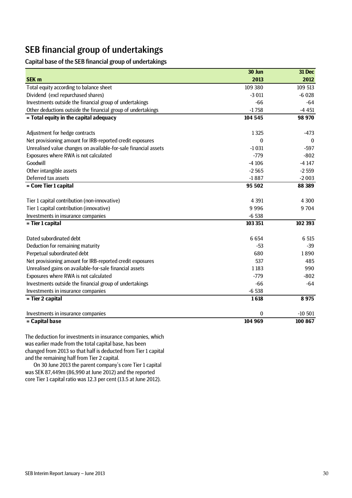# SEB financial group of undertakings

Capital base of the SEB financial group of undertakings

|                                                                 | 30 Jun   | 31 Dec       |
|-----------------------------------------------------------------|----------|--------------|
| <b>SEK m</b>                                                    | 2013     | 2012         |
| Total equity according to balance sheet                         | 109 380  | 109 513      |
| Dividend (excl repurchased shares)                              | $-3011$  | $-6028$      |
| Investments outside the financial group of undertakings         | $-66$    | $-64$        |
| Other deductions outside the financial group of undertakings    | $-1758$  | $-4451$      |
| = Total equity in the capital adequacy                          | 104 545  | 98 970       |
|                                                                 |          |              |
| Adjustment for hedge contracts                                  | 1325     | $-473$       |
| Net provisioning amount for IRB-reported credit exposures       | $\Omega$ | $\mathbf{0}$ |
| Unrealised value changes on available-for-sale financial assets | $-1031$  | $-597$       |
| Exposures where RWA is not calculated                           | $-779$   | $-802$       |
| Goodwill                                                        | $-4106$  | $-4147$      |
| Other intangible assets                                         | $-2565$  | $-2559$      |
| Deferred tax assets                                             | $-1887$  | $-2003$      |
| = Core Tier 1 capital                                           | 95 502   | 88 389       |
| Tier 1 capital contribution (non-innovative)                    | 4 3 9 1  | 4 3 0 0      |
| Tier 1 capital contribution (innovative)                        | 9996     | 9704         |
| Investments in insurance companies                              | $-6538$  |              |
| = Tier 1 capital                                                | 103 351  | 102 393      |
| Dated subordinated debt                                         | 6 6 5 4  | 6 5 15       |
| Deduction for remaining maturity                                | $-53$    | $-39$        |
| Perpetual subordinated debt                                     | 680      | 1890         |
| Net provisioning amount for IRB-reported credit exposures       | 537      | 485          |
| Unrealised gains on available-for-sale financial assets         | 1 1 8 3  | 990          |
| Exposures where RWA is not calculated                           | $-779$   | $-802$       |
| Investments outside the financial group of undertakings         | $-66$    | $-64$        |
| Investments in insurance companies                              | $-6538$  |              |
| = Tier 2 capital                                                | 1618     | 8975         |
| Investments in insurance companies                              | $\bf{0}$ | $-10501$     |
| = Capital base                                                  | 104 969  | 100 867      |

The deduction for investments in insurance companies, which was earlier made from the total capital base, has been changed from 2013 so that half is deducted from Tier 1 capital and the remaining half from Tier 2 capital.

On 30 June 2013 the parent company's core Tier 1 capital was SEK 87,449m (86,990 at June 2012) and the reported core Tier 1 capital ratio was 12.3 per cent (13.5 at June 2012).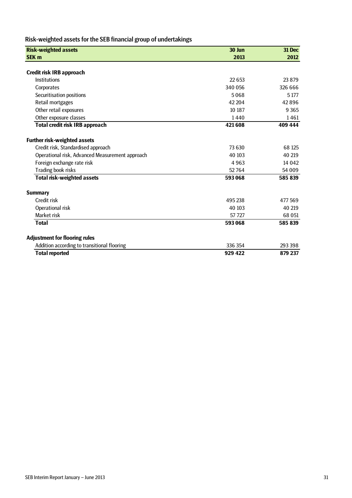# Risk-weighted assets for the SEB financial group of undertakings

| <b>Risk-weighted assets</b>                     | 30 Jun  | <b>31 Dec</b> |
|-------------------------------------------------|---------|---------------|
| <b>SEK m</b>                                    | 2013    | 2012          |
|                                                 |         |               |
| Credit risk IRB approach                        |         |               |
| Institutions                                    | 22 653  | 23 8 79       |
| Corporates                                      | 340 056 | 326 666       |
| Securitisation positions                        | 5068    | 5 1 7 7       |
| Retail mortgages                                | 42 204  | 42896         |
| Other retail exposures                          | 10 187  | 9 3 6 5       |
| Other exposure classes                          | 1440    | 1461          |
| Total credit risk IRB approach                  | 421608  | 409 444       |
| <b>Further risk-weighted assets</b>             |         |               |
| Credit risk, Standardised approach              | 73 630  | 68 125        |
| Operational risk, Advanced Measurement approach | 40 10 3 | 40 219        |
| Foreign exchange rate risk                      | 4963    | 14 0 42       |
| Trading book risks                              | 52764   | 54 009        |
| <b>Total risk-weighted assets</b>               | 593 068 | 585 839       |
| <b>Summary</b>                                  |         |               |
| Credit risk                                     | 495 238 | 477 569       |
| Operational risk                                | 40 103  | 40 219        |
| Market risk                                     | 57 7 27 | 68 051        |
| <b>Total</b>                                    | 593 068 | 585 839       |
| <b>Adjustment for flooring rules</b>            |         |               |
| Addition according to transitional flooring     | 336 354 | 293 398       |
| <b>Total reported</b>                           | 929 422 | 879 237       |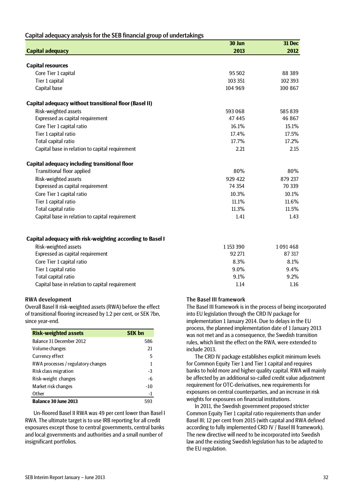| Capital adequacy analysis for the SEB financial group of undertakings |  |  |
|-----------------------------------------------------------------------|--|--|
|-----------------------------------------------------------------------|--|--|

|                                                               | 30 Jun  | 31 Dec  |
|---------------------------------------------------------------|---------|---------|
| <b>Capital adequacy</b>                                       | 2013    | 2012    |
|                                                               |         |         |
| <b>Capital resources</b>                                      |         |         |
| Core Tier 1 capital                                           | 95 502  | 88 389  |
| Tier 1 capital                                                | 103 351 | 102 393 |
| Capital base                                                  | 104 969 | 100 867 |
| <b>Capital adequacy without transitional floor (Basel II)</b> |         |         |
| Risk-weighted assets                                          | 593 068 | 585839  |
| Expressed as capital requirement                              | 47445   | 46 867  |
| Core Tier 1 capital ratio                                     | 16.1%   | 15.1%   |
| Tier 1 capital ratio                                          | 17.4%   | 17.5%   |
| Total capital ratio                                           | 17.7%   | 17.2%   |
| Capital base in relation to capital requirement               | 2.21    | 2.15    |
| Capital adequacy including transitional floor                 |         |         |
| <b>Transitional floor applied</b>                             | 80%     | 80%     |
| Risk-weighted assets                                          | 929 422 | 879 237 |
| Expressed as capital requirement                              | 74 354  | 70 339  |
| Core Tier 1 capital ratio                                     | 10.3%   | 10.1%   |
| Tier 1 capital ratio                                          | 11.1%   | 11.6%   |
| Total capital ratio                                           | 11.3%   | 11.5%   |
| Capital base in relation to capital requirement               | 1.41    | 1.43    |
|                                                               |         |         |
| Capital adequacy with risk-weighting according to Basel I     |         |         |

| Risk-weighted assets                            | 1 1 5 3 3 9 0 | 1091468 |
|-------------------------------------------------|---------------|---------|
| Expressed as capital requirement                | 92 271        | 87 317  |
| Core Tier 1 capital ratio                       | 8.3%          | 8.1%    |
| Tier 1 capital ratio                            | $9.0\%$       | 9.4%    |
| Total capital ratio                             | 9.1%          | 9.2%    |
| Capital base in relation to capital requirement | 1.14          | 1.16    |
|                                                 |               |         |

#### RWA developmen**t**

Overall Basel II risk-weighted assets (RWA) before the effect of transitional flooring increased by 1.2 per cent, or SEK 7bn, since year-end.

| <b>Risk-weighted assets</b>        | <b>SEK bn</b> |
|------------------------------------|---------------|
| Balance 31 December 2012           | 586           |
| Volume changes                     | 21            |
| Currency effect                    | 5             |
| RWA processes / regulatory changes | 1             |
| Risk class migration               | -3            |
| Risk-weight changes                | -6            |
| Market risk changes                | $-10$         |
| Other                              | -1            |
| <b>Balance 30 June 2013</b>        | 593           |

Un-floored Basel II RWA was 49 per cent lower than Basel I RWA. The ultimate target is to use IRB reporting for all credit exposures except those to central governments, central banks and local governments and authorities and a small number of insignificant portfolios.

### The Basel III framework

The Basel III framework is in the process of being incorporated into EU legislation through the CRD IV package for implementation 1 January 2014. Due to delays in the EU process, the planned implementation date of 1 January 2013 was not met and as a consequence, the Swedish transition rules, which limit the effect on the RWA, were extended to include 2013.

The CRD IV package establishes explicit minimum levels for Common Equity Tier 1 and Tier 1 capital and requires banks to hold more and higher quality capital. RWA will mainly be affected by an additional so-called credit value adjustment requirement for OTC-derivatives, new requirements for exposures on central counterparties, and an increase in risk weights for exposures on financial institutions.

In 2011, the Swedish government proposed stricter Common Equity Tier 1 capital ratio requirements than under Basel III; 12 per cent from 2015 (with capital and RWA defined according to fully implemented CRD IV / Basel III framework). The new directive will need to be incorporated into Swedish law and the existing Swedish legislation has to be adapted to the EU regulation.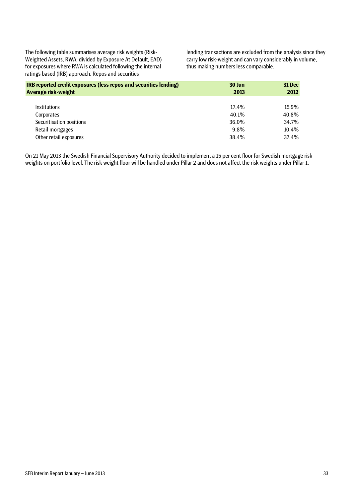The following table summarises average risk weights (Risk-Weighted Assets, RWA, divided by Exposure At Default, EAD) for exposures where RWA is calculated following the internal ratings based (IRB) approach. Repos and securities

lending transactions are excluded from the analysis since they carry low risk-weight and can vary considerably in volume, thus making numbers less comparable.

| IRB reported credit exposures (less repos and securities lending) | 30 Jun | 31 Dec |
|-------------------------------------------------------------------|--------|--------|
| Average risk-weight                                               | 2013   | 2012   |
|                                                                   |        |        |
| <b>Institutions</b>                                               | 17.4%  | 15.9%  |
| Corporates                                                        | 40.1%  | 40.8%  |
| Securitisation positions                                          | 36.0%  | 34.7%  |
| Retail mortgages                                                  | 9.8%   | 10.4%  |
| Other retail exposures                                            | 38.4%  | 37.4%  |

On 21 May 2013 the Swedish Financial Supervisory Authority decided to implement a 15 per cent floor for Swedish mortgage risk weights on portfolio level. The risk weight floor will be handled under Pillar 2 and does not affect the risk weights under Pillar 1.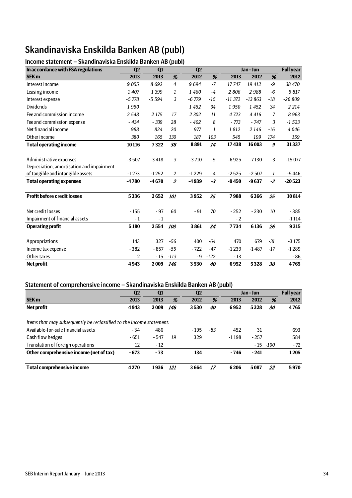# Skandinaviska Enskilda Banken AB (publ)

# Income statement – Skandinaviska Enskilda Banken AB (publ)

| In accordance with FSA regulations        | Q <sub>2</sub> | Q1      |                | Q2      |        |          | Jan - Jun |       | <b>Full year</b> |
|-------------------------------------------|----------------|---------|----------------|---------|--------|----------|-----------|-------|------------------|
| <b>SEK m</b>                              | 2013           | 2013    | %              | 2012    | %      | 2013     | 2012      | %     | 2012             |
| Interest income                           | 9055           | 8692    | $\overline{4}$ | 9694    | $-7$   | 17747    | 19 412    | $-9$  | 38 470           |
| Leasing income                            | 1 407          | 1 3 9 9 | 1              | 1460    | $-4$   | 2806     | 2988      | $-6$  | 5817             |
| Interest expense                          | $-5778$        | $-5594$ | 3              | $-6779$ | -15    | $-11372$ | $-13863$  | $-18$ | $-26809$         |
| <b>Dividends</b>                          | 1950           |         |                | 1452    | 34     | 1950     | 1452      | 34    | 2 2 1 4          |
| Fee and commission income                 | 2548           | 2 1 7 5 | 17             | 2 3 0 2 | 11     | 4723     | 4 4 1 6   | 7     | 8963             |
| Fee and commission expense                | $-434$         | $-339$  | 28             | $-402$  | 8      | - 773    | $-747$    | 3     | $-1523$          |
| Net financial income                      | 988            | 824     | 20             | 977     | 1      | 1812     | 2 1 4 6   | $-16$ | 4 0 46           |
| Other income                              | 380            | 165     | 130            | 187     | 103    | 545      | 199       | 174   | 159              |
| <b>Total operating income</b>             | 10116          | 7322    | 38             | 8891    | 14     | 17438    | 16 003    | 9     | 31337            |
|                                           |                |         |                |         |        |          |           |       |                  |
| Administrative expenses                   | $-3507$        | $-3418$ | 3              | $-3710$ | $-5$   | $-6925$  | $-7130$   | $-3$  | $-15077$         |
| Depreciation, amortisation and impairment |                |         |                |         |        |          |           |       |                  |
| of tangible and intangible assets         | $-1273$        | $-1252$ | $\overline{2}$ | $-1229$ | 4      | $-2525$  | $-2507$   | 1     | $-5446$          |
| <b>Total operating expenses</b>           | $-4780$        | $-4670$ | $\overline{2}$ | $-4939$ | $-3$   | $-9450$  | $-9637$   | $-2$  | $-20523$         |
|                                           |                |         |                |         |        |          |           |       |                  |
| <b>Profit before credit losses</b>        | 5336           | 2652    | 101            | 3952    | 35     | 7988     | 6366      | 25    | 10814            |
|                                           |                |         |                |         |        |          |           |       |                  |
| Net credit losses                         | $-155$         | $-97$   | 60             | $-91$   | 70     | $-252$   | $-230$    | 10    | $-385$           |
| Impairment of financial assets            | $-1$           | $-1$    |                |         |        | $-2$     |           |       | $-1114$          |
| <b>Operating profit</b>                   | 5180           | 2554    | 103            | 3861    | 34     | 7734     | 6136      | 26    | 9315             |
|                                           |                |         |                |         |        |          |           |       |                  |
| Appropriations                            | 143            | 327     | $-56$          | 400     | -64    | 470      | 679       | $-31$ | $-3175$          |
| Income tax expense                        | $-382$         | $-857$  | $-55$          | $-722$  | $-47$  | $-1239$  | $-1487$   | $-17$ | $-1289$          |
| Other taxes                               | $\overline{2}$ | $-15$   | $-113$         | $-9$    | $-122$ | $-13$    |           |       | $-86$            |
| <b>Net profit</b>                         | 4943           | 2009    | 146            | 3530    | 40     | 6952     | 5328      | 30    | 4765             |

### Statement of comprehensive income – Skandinaviska Enskilda Banken AB (publ)

|                                                                      | Q <sub>2</sub> | Q1     |     | Q <sub>2</sub> |     |         | Jan - Jun |             | <b>Full year</b> |
|----------------------------------------------------------------------|----------------|--------|-----|----------------|-----|---------|-----------|-------------|------------------|
| <b>SEK m</b>                                                         | 2013           | 2013   | %   | 2012           | %   | 2013    | 2012      | %           | 2012             |
| Net profit                                                           | 4943           | 2009   | 146 | 3530           | 40  | 6952    | 5328      | 30          | 4765             |
| Items that may subsequently be reclassified to the income statement: |                |        |     |                |     |         |           |             |                  |
| Available-for-sale financial assets                                  | $-34$          | 486    |     | $-195$         | -83 | 452     | 31        |             | 693              |
| Cash flow hedges                                                     | $-651$         | $-547$ | 19  | 329            |     | $-1198$ | $-257$    |             | 584              |
| Translation of foreign operations                                    | 12             | $-12$  |     |                |     |         |           | $-15 - 100$ | $-72$            |
| Other comprehensive income (net of tax)                              | $-673$         | $-73$  |     | 134            |     | $-746$  | $-241$    |             | 1205             |
| <b>Total comprehensive income</b>                                    | 4270           | 1936   | 121 | 3664           | 17  | 6206    | 5087      | 22          | 5970             |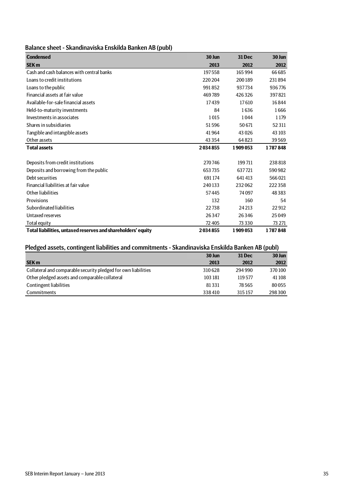| Balance sheet - Skandinaviska Enskilda Banken AB (publ) |  |
|---------------------------------------------------------|--|
|---------------------------------------------------------|--|

| <b>Condensed</b>                                             | 30 Jun   | <b>31 Dec</b> | 30 Jun  |
|--------------------------------------------------------------|----------|---------------|---------|
| <b>SEK m</b>                                                 | 2013     | 2012          | 2012    |
| Cash and cash balances with central banks                    | 197558   | 165994        | 66685   |
| Loans to credit institutions                                 | 220204   | 200189        | 231894  |
| Loans to the public                                          | 991852   | 937734        | 936776  |
| Financial assets at fair value                               | 469789   | 426326        | 397821  |
| Available-for-sale financial assets                          | 17439    | 17610         | 16844   |
| Held-to-maturity investments                                 | 84       | 1636          | 1666    |
| Investments in associates                                    | 1015     | 1044          | 1179    |
| Shares in subsidiaries                                       | 51596    | 50671         | 52311   |
| Tangible and intangible assets                               | 41964    | 43026         | 43 103  |
| Other assets                                                 | 43 3 5 4 | 64823         | 39569   |
| <b>Total assets</b>                                          | 2034855  | 1909053       | 1787848 |
|                                                              |          |               |         |
| Deposits from credit institutions                            | 270746   | 199711        | 238818  |
| Deposits and borrowing from the public                       | 653735   | 637721        | 590982  |
| Debt securities                                              | 691174   | 641413        | 566021  |
| Financial liabilities at fair value                          | 240133   | 232062        | 222 358 |
| Other liabilities                                            | 57445    | 74097         | 48383   |
| Provisions                                                   | 132      | 160           | 54      |
| Subordinated liabilities                                     | 22738    | 24 21 3       | 22912   |
| Untaxed reserves                                             | 26347    | 26346         | 25049   |
| <b>Total equity</b>                                          | 72 405   | 73 3 3 0      | 73 271  |
| Total liabilities, untaxed reserves and shareholders' equity | 2034855  | 1909053       | 1787848 |

# Pledged assets, contingent liabilities and commitments - Skandinaviska Enskilda Banken AB (publ)

|                                                                | 30 Jun  | <b>31 Dec</b> | $30$ Jun |
|----------------------------------------------------------------|---------|---------------|----------|
| <b>SEK m</b>                                                   | 2013    | 2012          | 2012     |
| Collateral and comparable security pledged for own liabilities | 310628  | 294 990       | 370100   |
| Other pledged assets and comparable collateral                 | 103 181 | 119577        | 41 108   |
| Contingent liabilities                                         | 81331   | 78.565        | 80055    |
| Commitments                                                    | 338410  | 315157        | 298300   |